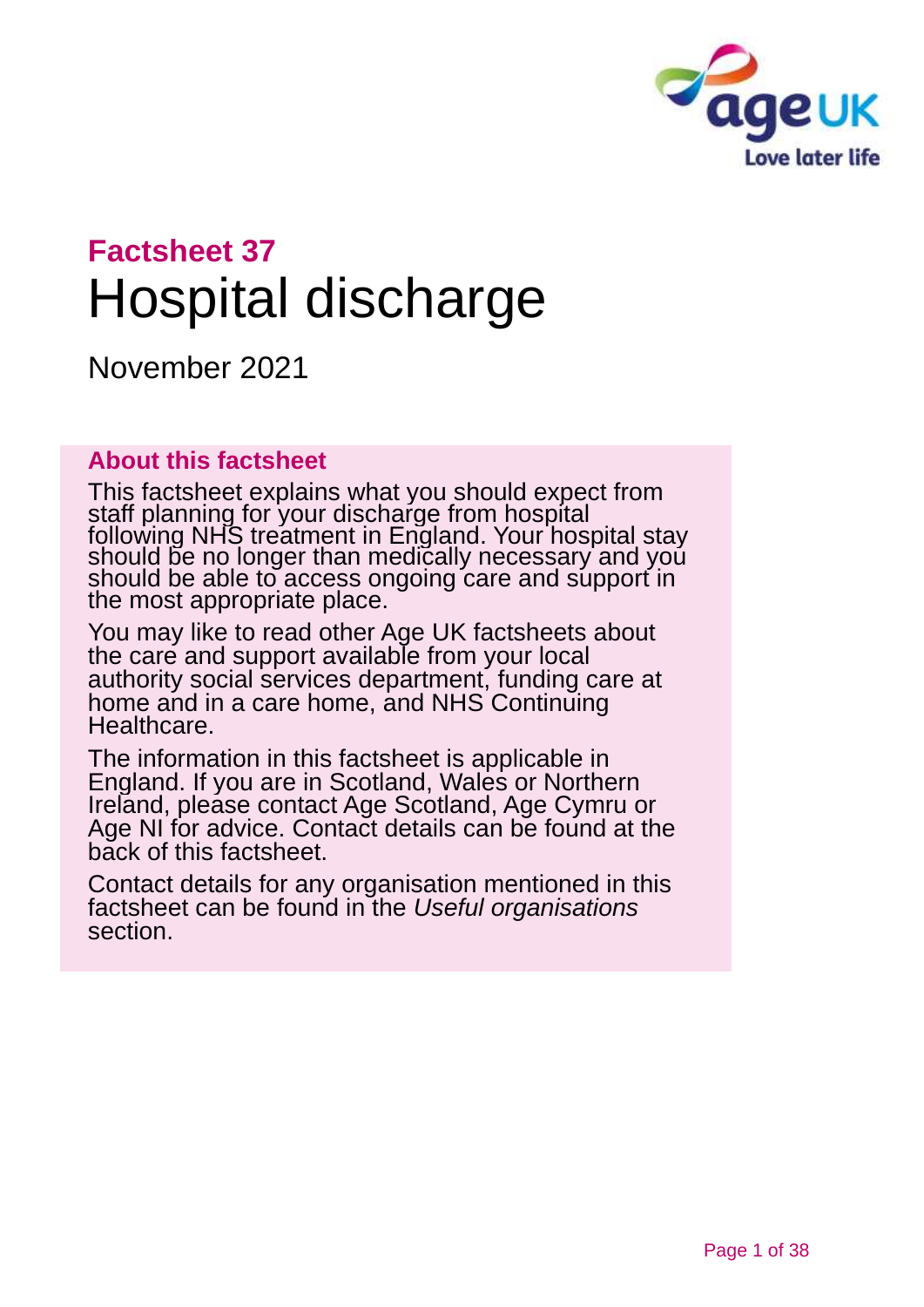

# **Factsheet 37** Hospital discharge

November 2021

#### **About this factsheet**

This factsheet explains what you should expect from staff planning for your discharge from hospital following NHS treatment in England. Your hospital stay should be no longer than medically necessary and you should be able to access ongoing care and support in the most appropriate place.

You may like to read other Age UK factsheets about the care and support available from your local authority social services department, funding care at home and in a care home, and NHS Continuing Healthcare.

The information in this factsheet is applicable in England. If you are in Scotland, Wales or Northern Ireland, please contact [Age Scotland, Age Cymru or](#page-36-0)  [Age NI](#page-36-0) for advice. Contact details can be found at the back of this factsheet.

Contact details for any organisation mentioned in this factsheet can be found in the *[Useful organisations](#page-32-0)* section.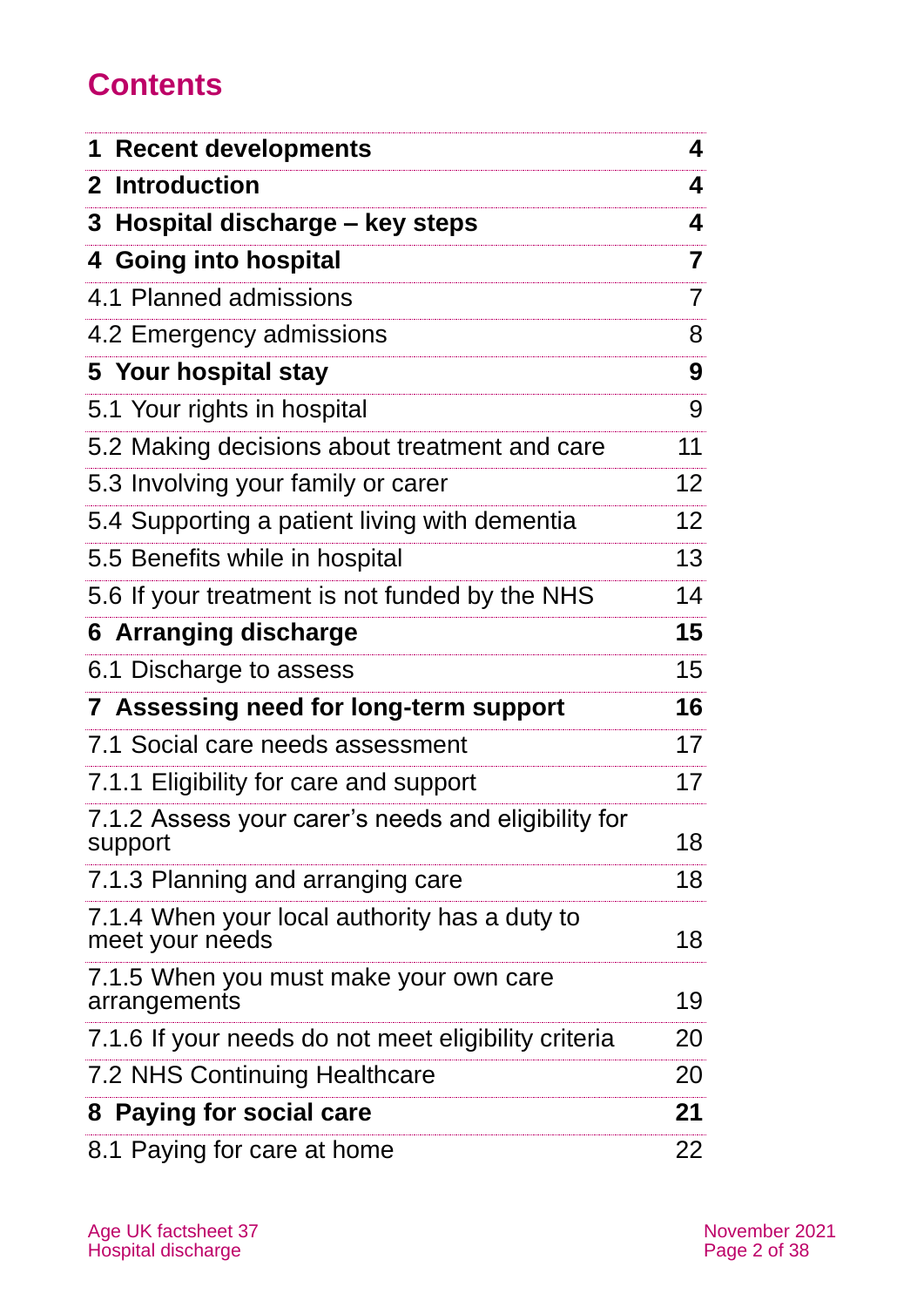## **Contents**

| <b>Recent developments</b><br>1                                  | 4               |
|------------------------------------------------------------------|-----------------|
| 2 Introduction                                                   | 4               |
| 3 Hospital discharge – key steps                                 | 4               |
| 4 Going into hospital                                            | 7               |
| 4.1 Planned admissions                                           | $\overline{7}$  |
| 4.2 Emergency admissions                                         | 8               |
| 5 Your hospital stay                                             | 9               |
| 5.1 Your rights in hospital                                      | 9               |
| 5.2 Making decisions about treatment and care                    | 11              |
| 5.3 Involving your family or carer                               | 12 <sub>2</sub> |
| 5.4 Supporting a patient living with dementia                    | 12 <sub>2</sub> |
| 5.5 Benefits while in hospital                                   | 13              |
| 5.6 If your treatment is not funded by the NHS                   | 14              |
| 6 Arranging discharge                                            | 15              |
| 6.1 Discharge to assess                                          | 15              |
| 7 Assessing need for long-term support                           | 16              |
| 7.1 Social care needs assessment                                 | 17              |
| 7.1.1 Eligibility for care and support                           | 17              |
| 7.1.2 Assess your carer's needs and eligibility for<br>support   | 18              |
| 7.1.3 Planning and arranging care                                | 18              |
| 7.1.4 When your local authority has a duty to<br>meet your needs | 18              |
| 7.1.5 When you must make your own care<br>arrangements           | 19              |
| 7.1.6 If your needs do not meet eligibility criteria             | 20              |
| 7.2 NHS Continuing Healthcare                                    | 20              |
| 8 Paying for social care                                         | 21              |
| 8.1 Paying for care at home                                      | 22              |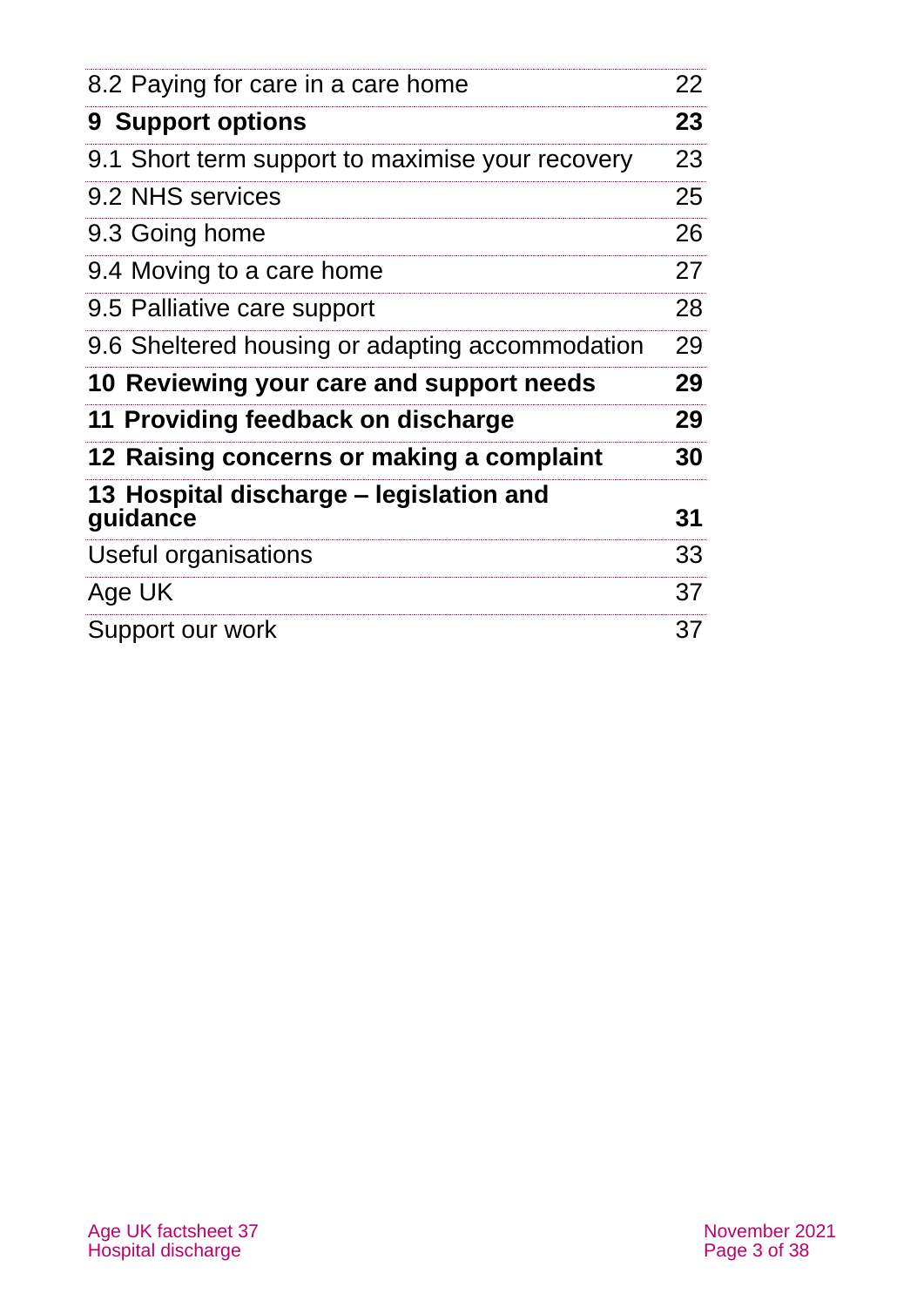| 8.2 Paying for care in a care home               | 22 |
|--------------------------------------------------|----|
| <b>9 Support options</b>                         | 23 |
| 9.1 Short term support to maximise your recovery | 23 |
| 9.2 NHS services                                 | 25 |
| 9.3 Going home                                   | 26 |
| 9.4 Moving to a care home                        | 27 |
| 9.5 Palliative care support                      | 28 |
| 9.6 Sheltered housing or adapting accommodation  | 29 |
| 10 Reviewing your care and support needs         | 29 |
| 11 Providing feedback on discharge               | 29 |
| 12 Raising concerns or making a complaint        | 30 |
| 13 Hospital discharge - legislation and          |    |
| guidance                                         | 31 |
| Useful organisations                             | 33 |
| Age UK                                           | 37 |
| Support our work                                 | 37 |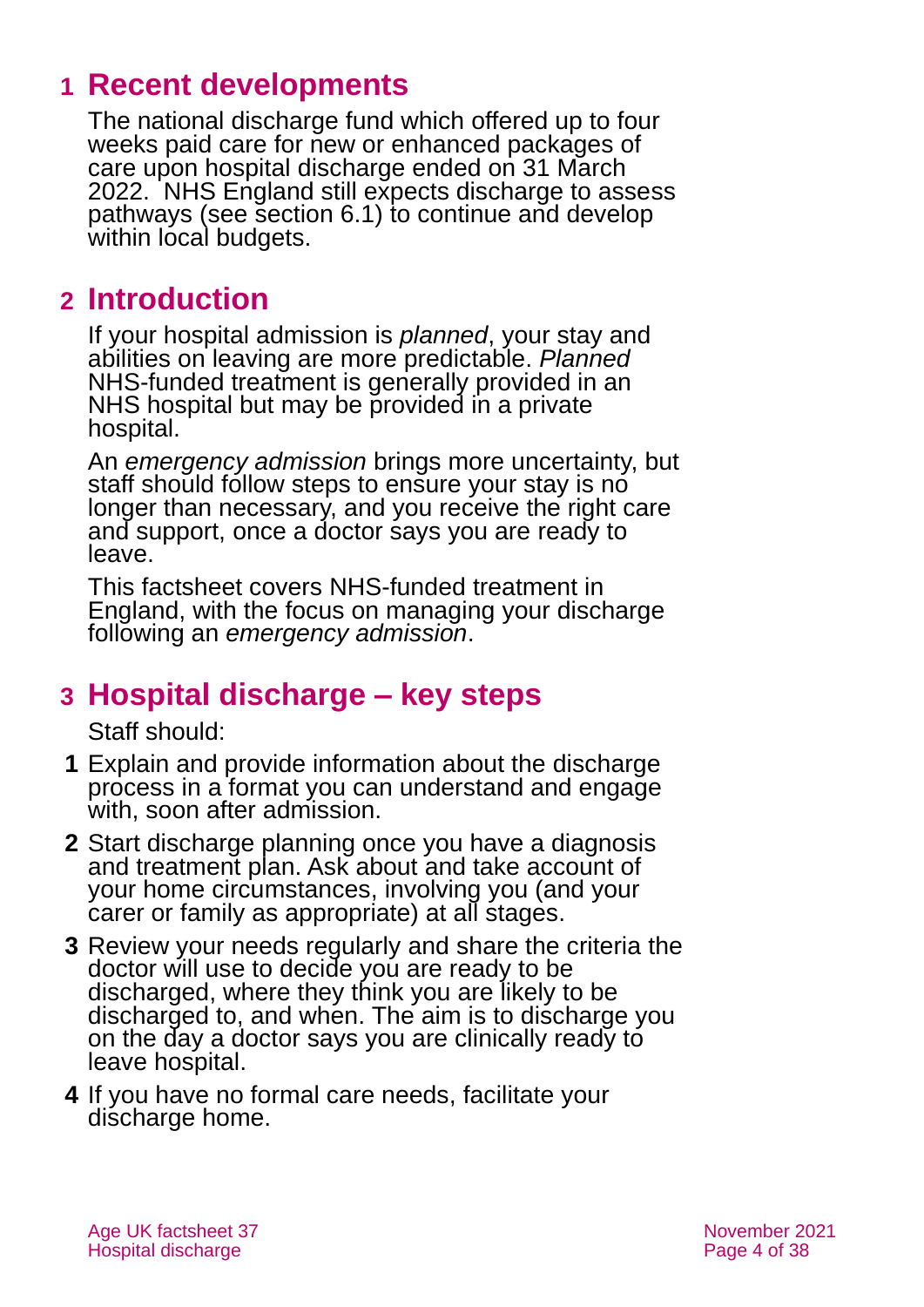## <span id="page-3-0"></span>**1 Recent developments**

The national discharge fund which offered up to four weeks paid care for new or enhanced packages of care upon hospital discharge ended on 31 March 2022. NHS England still expects discharge to assess pathways (see [section 6.1\)](#page-14-1) to continue and develop within local budgets.

## <span id="page-3-1"></span>**2 Introduction**

If your hospital admission is *planned*, your stay and abilities on leaving are more predictable. *Planned*  NHS-funded treatment is generally provided in an NHS hospital but may be provided in a private hospital.

An *emergency admission* brings more uncertainty, but staff should follow steps to ensure your stay is no longer than necessary, and you receive the right care and support, once a doctor says you are ready to leave.

This factsheet covers NHS-funded treatment in England, with the focus on managing your discharge following an *emergency admission*.

## <span id="page-3-2"></span>**3 Hospital discharge – key steps**

Staff should:

- **1** Explain and provide information about the discharge process in a format you can understand and engage with, soon after admission.
- **2** Start discharge planning once you have a diagnosis and treatment plan. Ask about and take account of your home circumstances, involving you (and your carer or family as appropriate) at all stages.
- **3** Review your needs regularly and share the criteria the doctor will use to decide you are ready to be discharged, where they think you are likely to be discharged to, and when. The aim is to discharge you on the day a doctor says you are clinically ready to leave hospital.
- **4** If you have no formal care needs, facilitate your discharge home.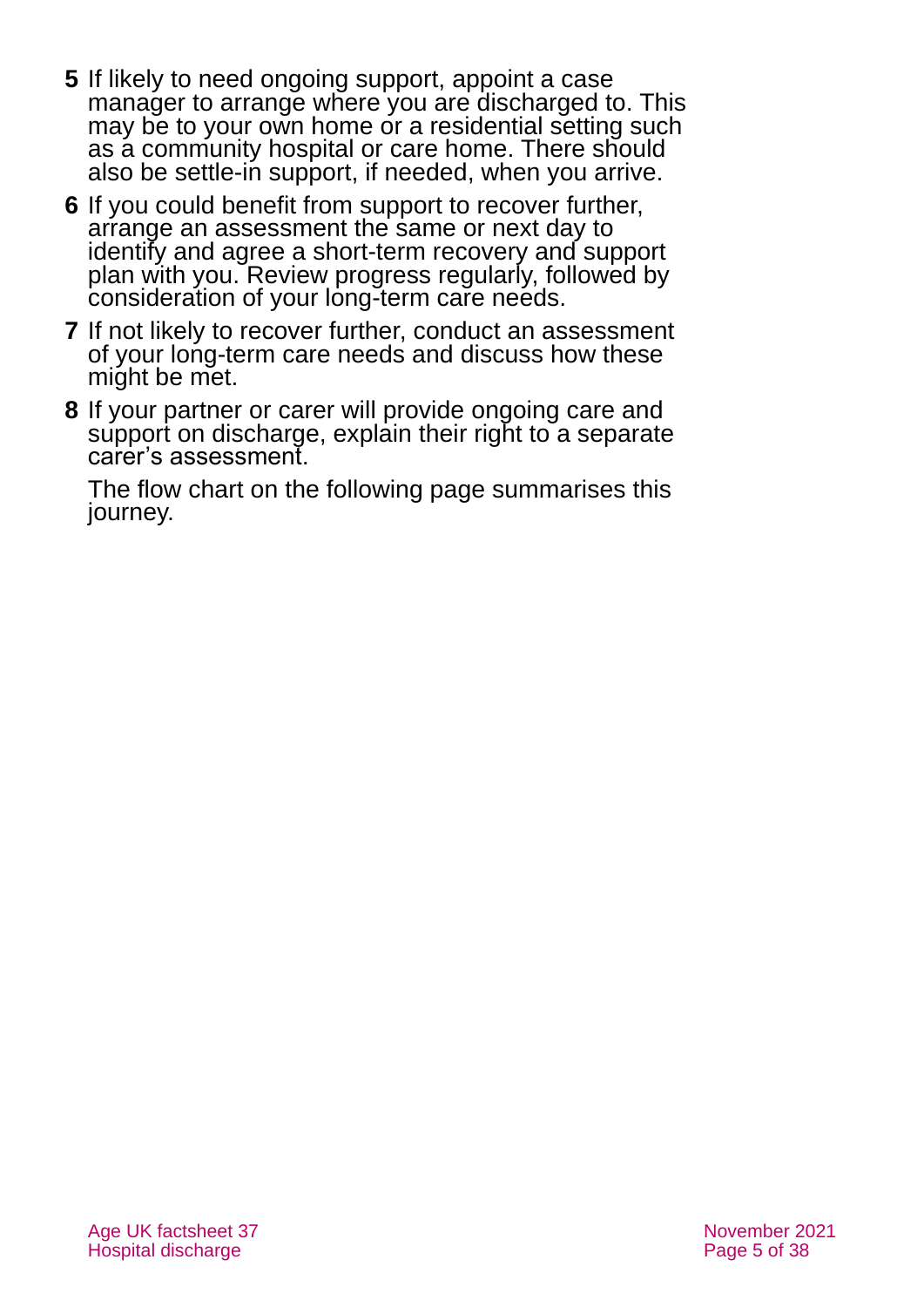- **5** If likely to need ongoing support, appoint a case manager to arrange where you are discharged to. This may be to your own home or a residential setting such as a community hospital or care home. There should also be settle-in support, if needed, when you arrive.
- **6** If you could benefit from support to recover further, arrange an assessment the same or next day to identify and agree a short-term recovery and support plan with you. Review progress regularly, followed by consideration of your long-term care needs.
- **7** If not likely to recover further, conduct an assessment of your long-term care needs and discuss how these might be met.
- **8** If your partner or carer will provide ongoing care and support on discharge, explain their right to a separate carer's assessment.

The flow chart on the following page summarises this journey.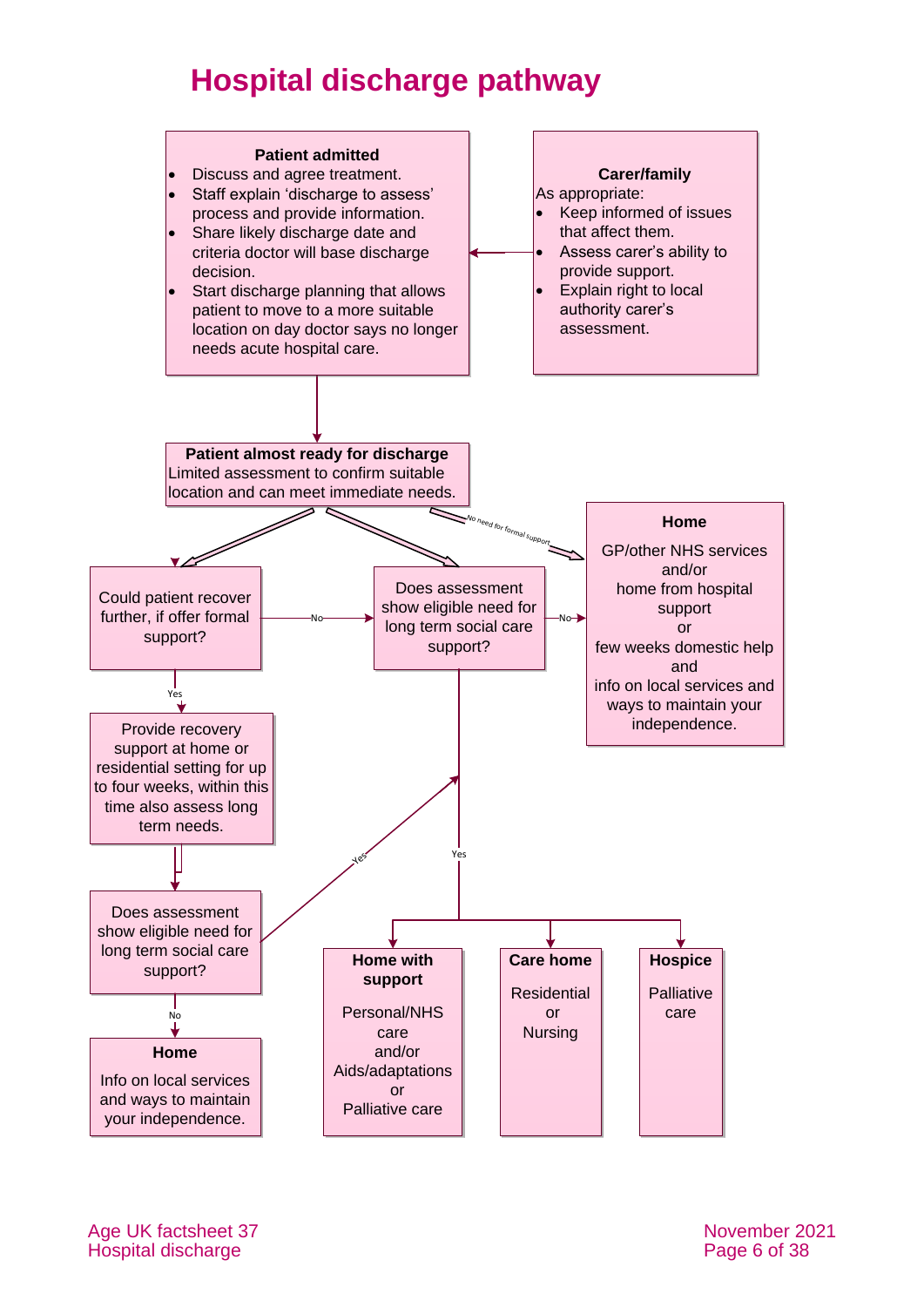## **Hospital discharge pathway**

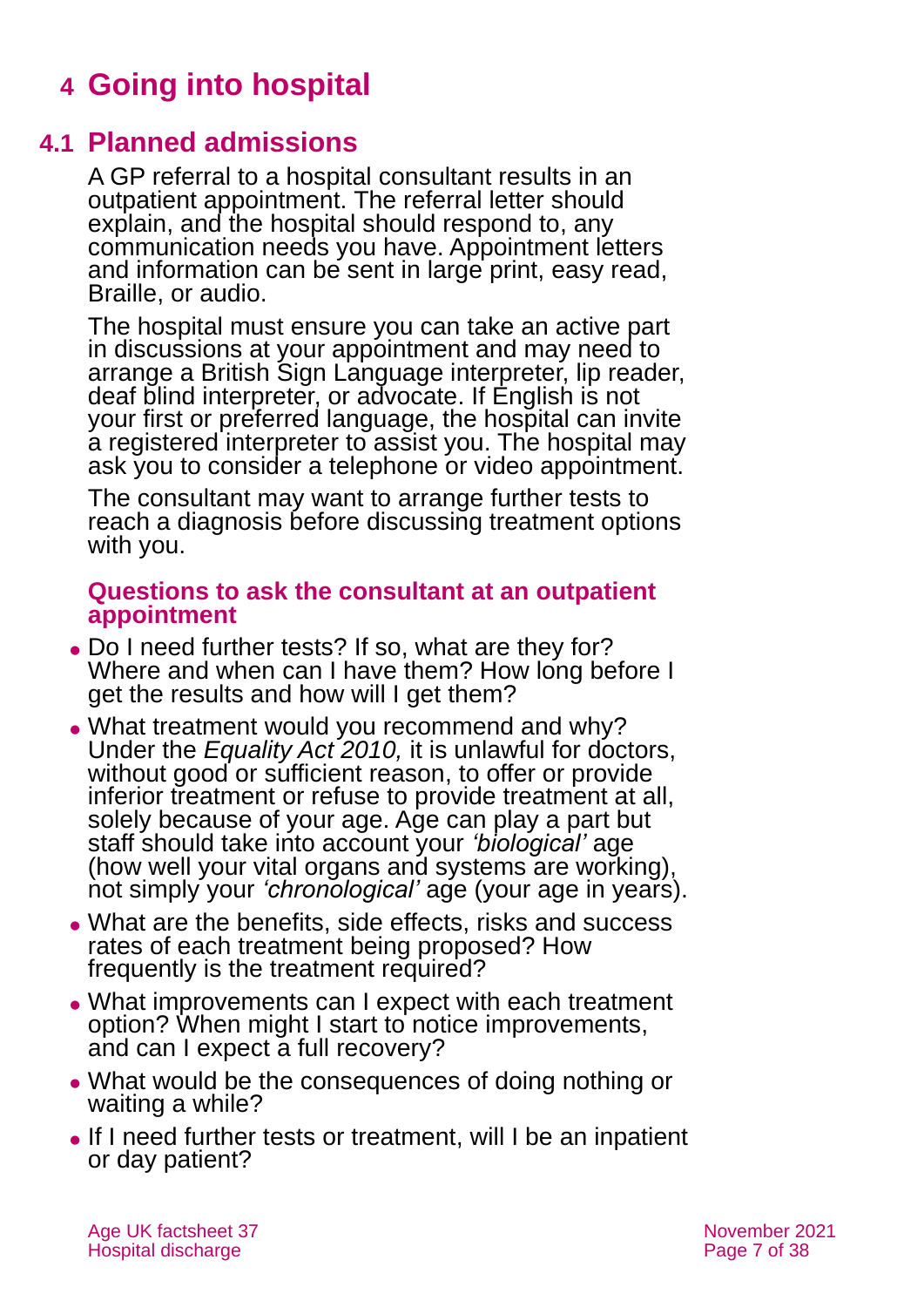## <span id="page-6-0"></span>**4 Going into hospital**

#### **4.1 Planned admissions**

A GP referral to a hospital consultant results in an outpatient appointment. The referral letter should explain, and the hospital should respond to, any communication needs you have. Appointment letters and information can be sent in large print, easy read, Braille, or audio.

The hospital must ensure you can take an active part in discussions at your appointment and may need to arrange a British Sign Language interpreter, lip reader, deaf blind interpreter, or advocate. If English is not your first or preferred language, the hospital can invite a registered interpreter to assist you. The hospital may ask you to consider a telephone or video appointment.

The consultant may want to arrange further tests to reach a diagnosis before discussing treatment options with you.

#### **Questions to ask the consultant at an outpatient appointment**

- ⚫ Do I need further tests? If so, what are they for? Where and when can I have them? How long before I get the results and how will I get them?
- ⚫ What treatment would you recommend and why? Under the *Equality Act 2010,* it is unlawful for doctors, without good or sufficient reason, to offer or provide inferior treatment or refuse to provide treatment at all, solely because of your age. Age can play a part but staff should take into account your *'biological'* age (how well your vital organs and systems are working), not simply your *'chronological'* age (your age in years).
- ⚫ What are the benefits, side effects, risks and success rates of each treatment being proposed? How frequently is the treatment required?
- ⚫ What improvements can I expect with each treatment option? When might I start to notice improvements, and can I expect a full recovery?
- ⚫ What would be the consequences of doing nothing or waiting a while?
- ⚫ If I need further tests or treatment, will I be an inpatient or day patient?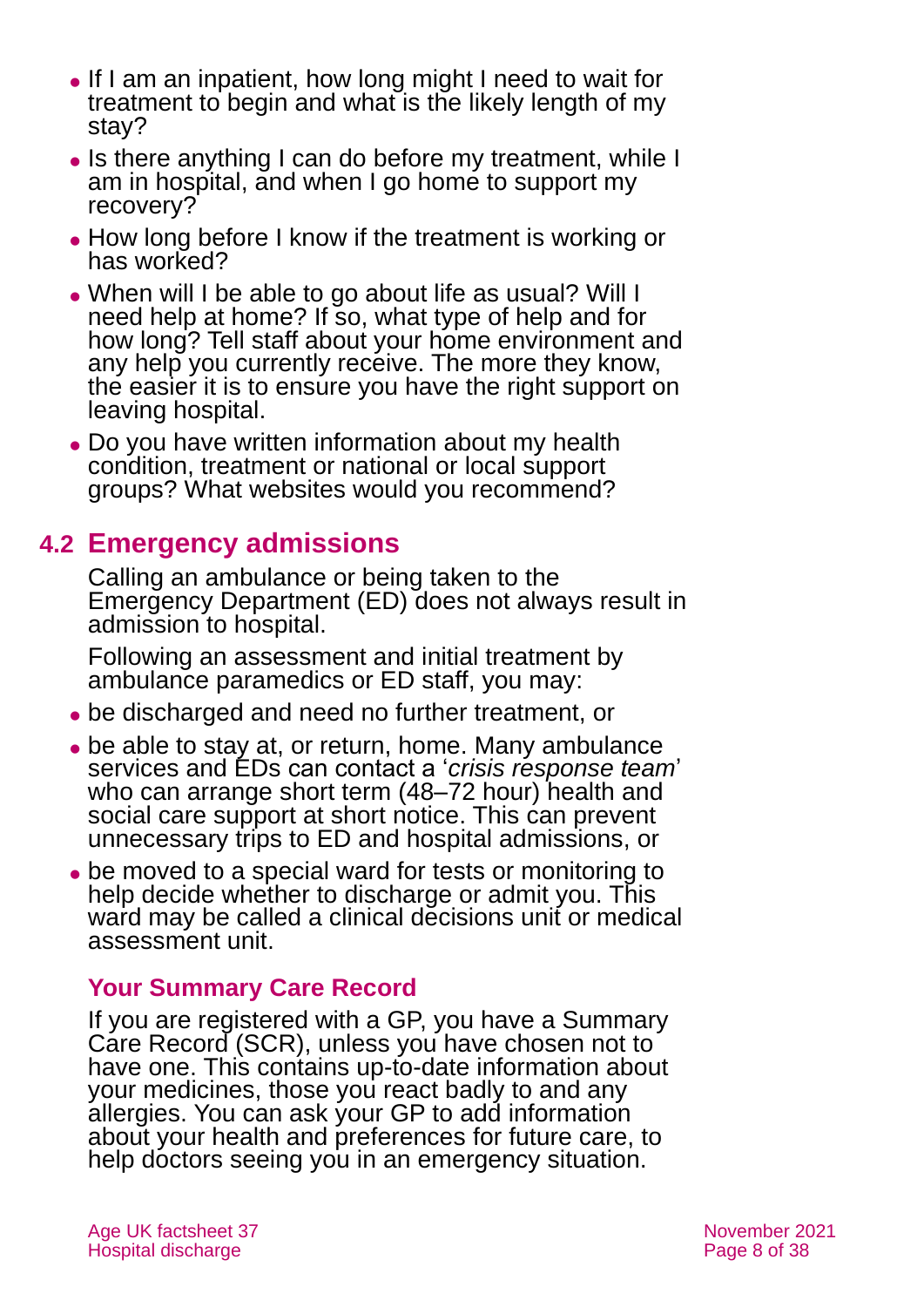- ⚫ If I am an inpatient, how long might I need to wait for treatment to begin and what is the likely length of my stay?
- Is there anything I can do before my treatment, while I am in hospital, and when I go home to support my recovery?
- ⚫ How long before I know if the treatment is working or has worked?
- ⚫ When will I be able to go about life as usual? Will I need help at home? If so, what type of help and for how long? Tell staff about your home environment and any help you currently receive. The more they know, the easier it is to ensure you have the right support on leaving hospital.
- Do you have written information about my health condition, treatment or national or local support groups? What websites would you recommend?

## **4.2 Emergency admissions**

Calling an ambulance or being taken to the Emergency Department (ED) does not always result in admission to hospital.

Following an assessment and initial treatment by ambulance paramedics or ED staff, you may:

- ⚫ be discharged and need no further treatment, or
- ⚫ be able to stay at, or return, home. Many ambulance services and EDs can contact a '*crisis response team*' who can arrange short term (48–72 hour) health and social care support at short notice. This can prevent unnecessary trips to ED and hospital admissions, or
- be moved to a special ward for tests or monitoring to help decide whether to discharge or admit you. This ward may be called a clinical decisions unit or medical assessment unit.

#### **Your Summary Care Record**

If you are registered with a GP, you have a Summary Care Record (SCR), unless you have chosen not to have one. This contains up-to-date information about your medicines, those you react badly to and any allergies. You can ask your GP to add information about your health and preferences for future care, to help doctors seeing you in an emergency situation.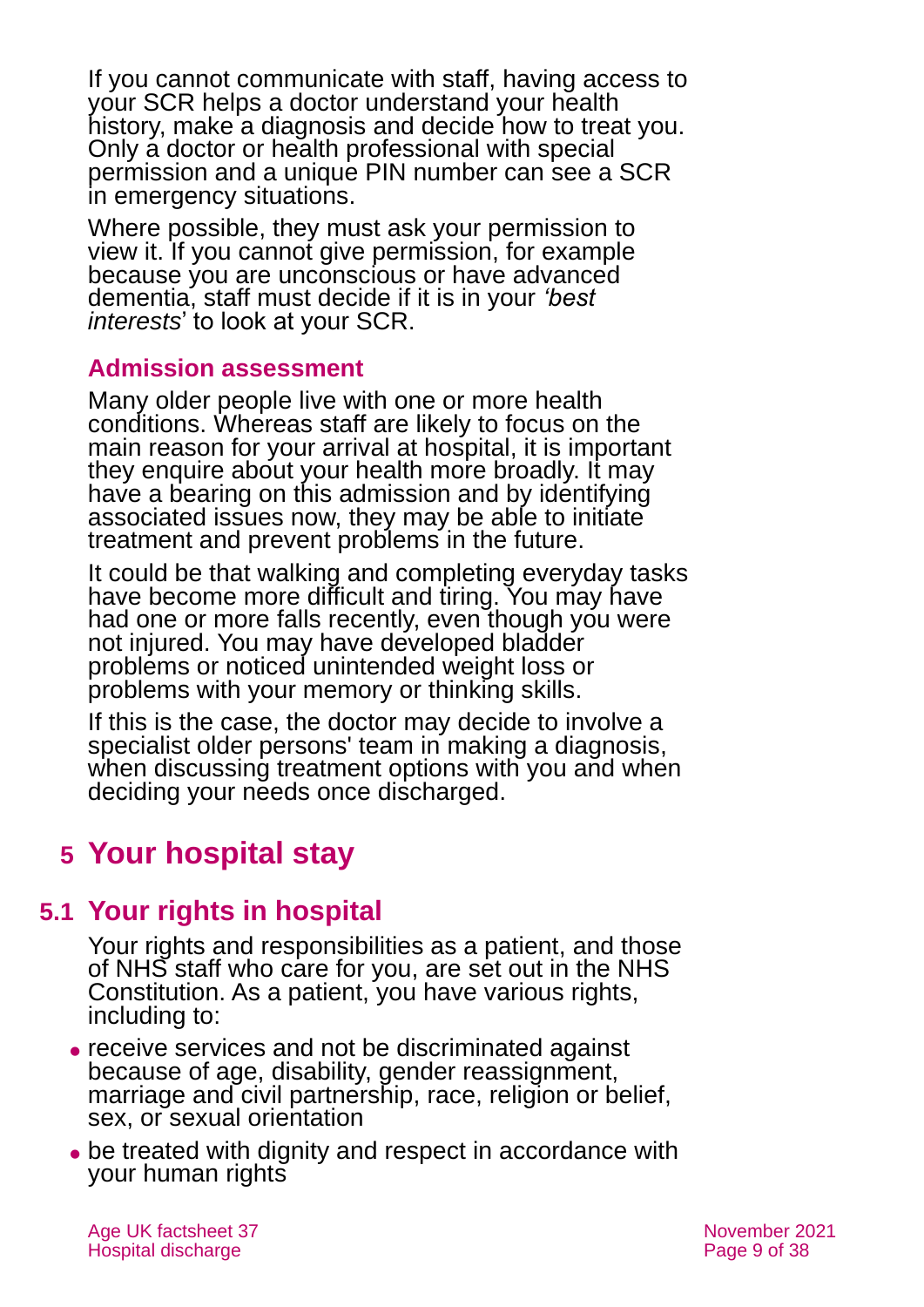If you cannot communicate with staff, having access to your SCR helps a doctor understand your health history, make a diagnosis and decide how to treat you. Only a doctor or health professional with special permission and a unique PIN number can see a SCR in emergency situations.

Where possible, they must ask your permission to view it. If you cannot give permission, for example because you are unconscious or have advanced dementia, staff must decide if it is in your *'best interests*' to look at your SCR.

#### **Admission assessment**

Many older people live with one or more health conditions. Whereas staff are likely to focus on the main reason for your arrival at hospital, it is important they enquire about your health more broadly. It may have a bearing on this admission and by identifying associated issues now, they may be able to initiate treatment and prevent problems in the future.

It could be that walking and completing everyday tasks have become more difficult and tiring. You may have had one or more falls recently, even though you were not injured. You may have developed bladder problems or noticed unintended weight loss or problems with your memory or thinking skills.

If this is the case, the doctor may decide to involve a specialist older persons' team in making a diagnosis, when discussing treatment options with you and when deciding your needs once discharged.

## <span id="page-8-0"></span>**5 Your hospital stay**

## **5.1 Your rights in hospital**

Your rights and responsibilities as a patient, and those of NHS staff who care for you, are set out in the [NHS](https://www.gov.uk/government/publications/the-nhs-constitution-for-england)  [Constitution.](https://www.gov.uk/government/publications/the-nhs-constitution-for-england) As a patient, you have various rights, including to:

- ⚫ receive services and not be discriminated against because of age, disability, gender reassignment, marriage and civil partnership, race, religion or belief, sex, or sexual orientation
- be treated with dignity and respect in accordance with your human rights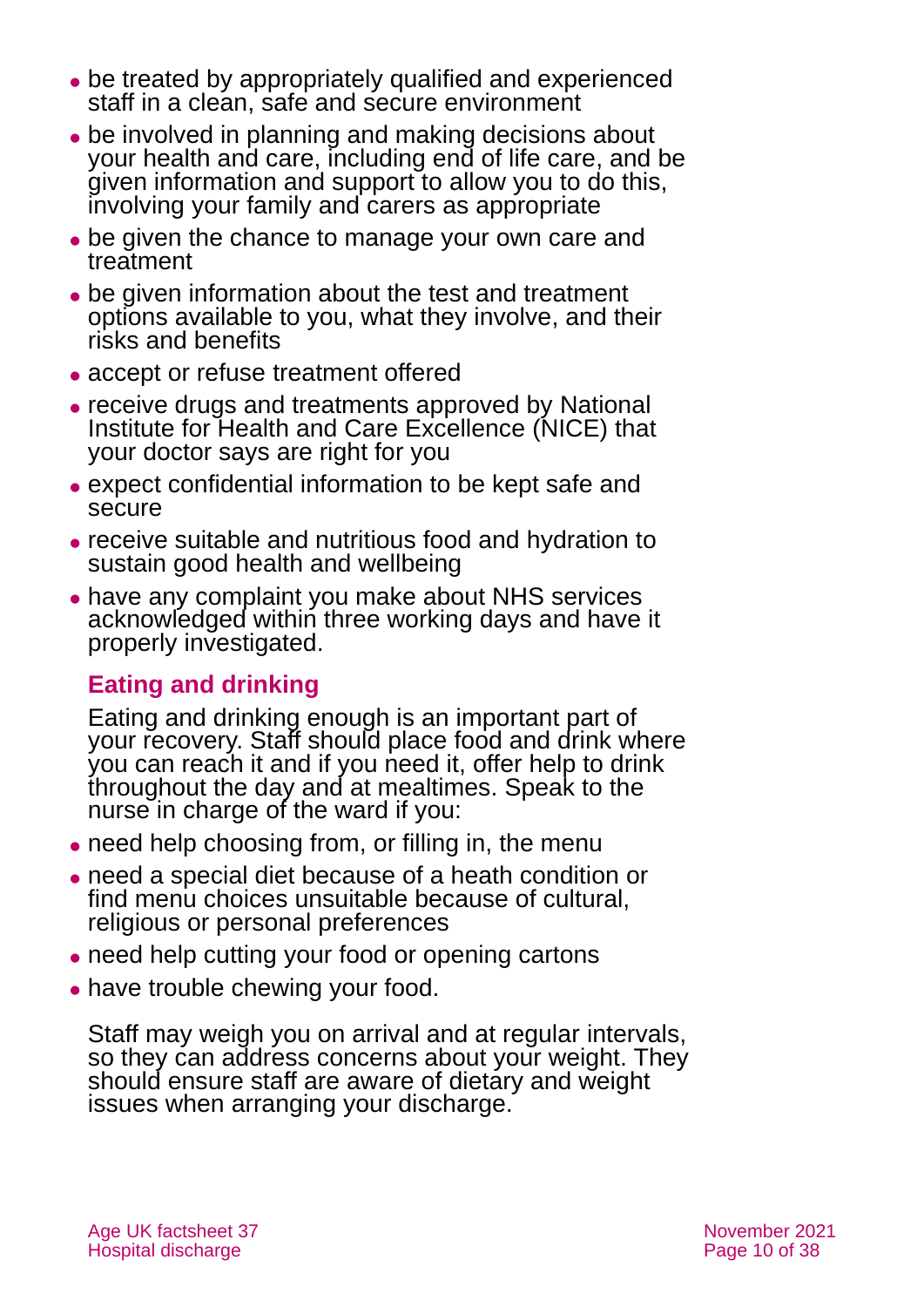- ⚫ be treated by appropriately qualified and experienced staff in a clean, safe and secure environment
- ⚫ be involved in planning and making decisions about your health and care, including end of life care, and be given information and support to allow you to do this, involving your family and carers as appropriate
- be given the chance to manage your own care and treatment
- be given information about the test and treatment options available to you, what they involve, and their risks and benefits
- accept or refuse treatment offered
- receive drugs and treatments approved by National Institute for Health and Care Excellence (NICE) that your doctor says are right for you
- ⚫ expect confidential information to be kept safe and secure
- ⚫ receive suitable and nutritious food and hydration to sustain good health and wellbeing
- ⚫ have any complaint you make about NHS services acknowledged within three working days and have it properly investigated.

### **Eating and drinking**

Eating and drinking enough is an important part of your recovery. Staff should place food and drink where you can reach it and if you need it, offer help to drink throughout the day and at mealtimes. Speak to the nurse in charge of the ward if you:

- need help choosing from, or filling in, the menu
- ⚫ need a special diet because of a heath condition or find menu choices unsuitable because of cultural, religious or personal preferences
- ⚫ need help cutting your food or opening cartons
- have trouble chewing your food.

Staff may weigh you on arrival and at regular intervals, so they can address concerns about your weight. They should ensure staff are aware of dietary and weight issues when arranging your discharge.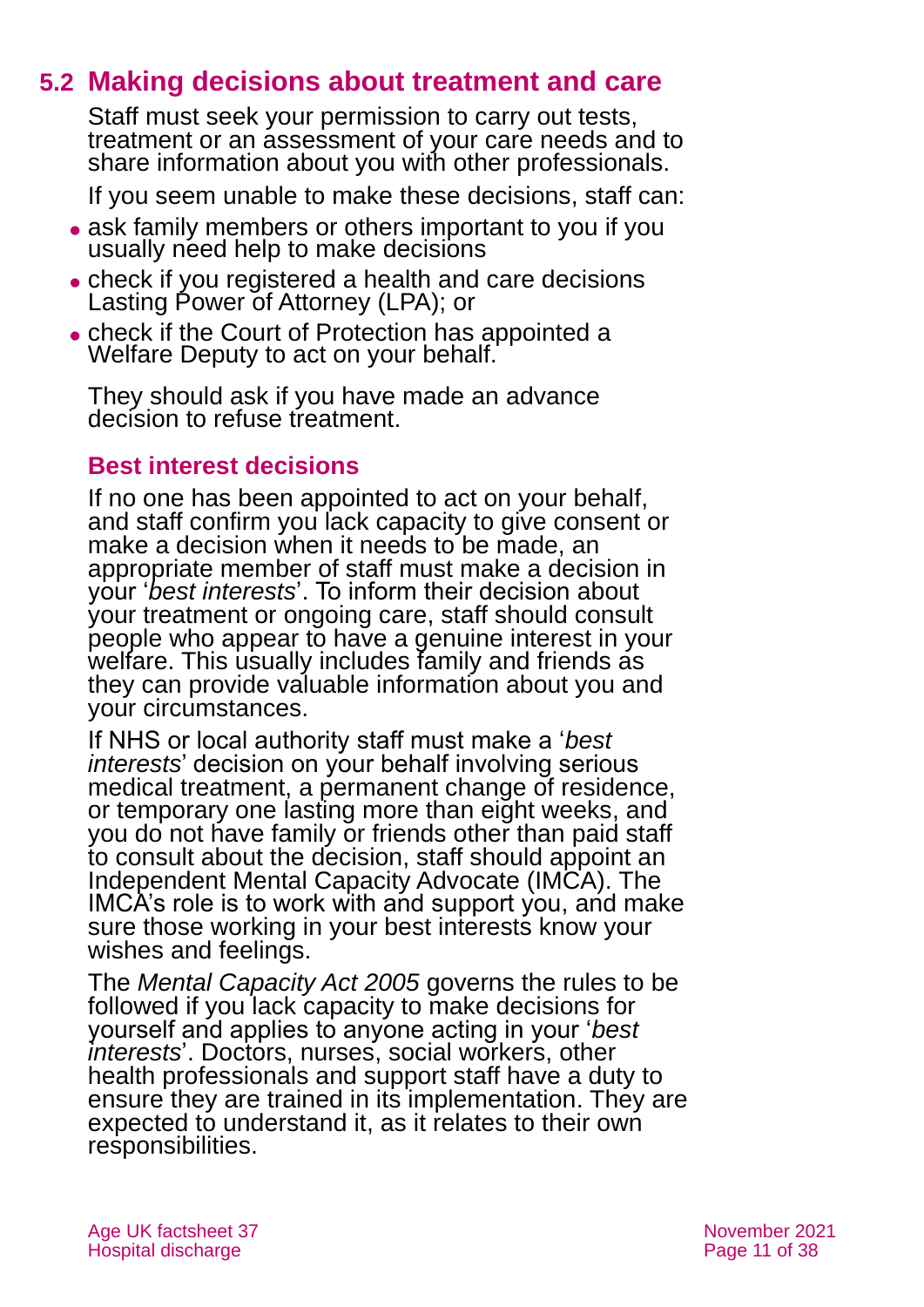## **5.2 Making decisions about treatment and care**

Staff must seek your permission to carry out tests, treatment or an assessment of your care needs and to share information about you with other professionals.

If you seem unable to make these decisions, staff can:

- ask family members or others important to you if you usually need help to make decisions
- ⚫ check if you registered a health and care decisions Lasting Power of Attorney (LPA); or
- ⚫ check if the Court of Protection has appointed a Welfare Deputy to act on your behalf.

They should ask if you have made an advance decision to refuse treatment.

#### **Best interest decisions**

If no one has been appointed to act on your behalf, and staff confirm you lack capacity to give consent or make a decision when it needs to be made, an appropriate member of staff must make a decision in your '*best interests*'. To inform their decision about your treatment or ongoing care, staff should consult people who appear to have a genuine interest in your welfare. This usually includes family and friends as they can provide valuable information about you and your circumstances.

If NHS or local authority staff must make a '*best interests*' decision on your behalf involving serious medical treatment, a permanent change of residence, or temporary one lasting more than eight weeks, and you do not have family or friends other than paid staff to consult about the decision, staff should appoint an Independent Mental Capacity Advocate (IMCA). The IMCA's role is to work with and support you, and make sure those working in your best interests know your wishes and feelings.

The *[Mental Capacity Act 2005](http://www.legislation.gov.uk/ukpga/2005/9/contents)* governs the rules to be followed if you lack capacity to make decisions for yourself and applies to anyone acting in your '*best interests*'. Doctors, nurses, social workers, other health professionals and support staff have a duty to ensure they are trained in its implementation. They are expected to understand it, as it relates to their own responsibilities.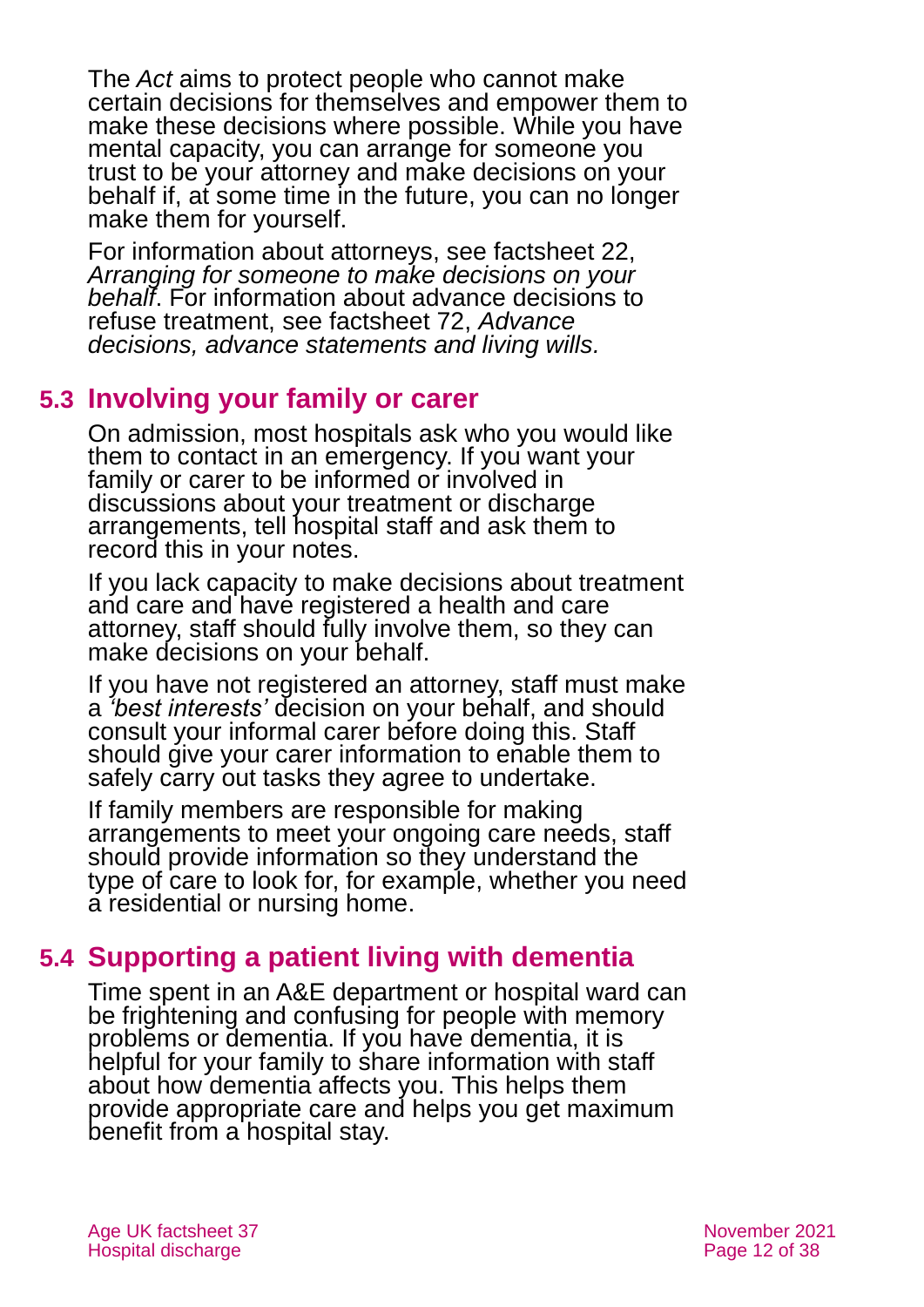The *Act* aims to protect people who cannot make certain decisions for themselves and empower them to make these decisions where possible. While you have mental capacity, you can arrange for someone you trust to be your attorney and make decisions on your behalf if, at some time in the future, you can no longer make them for yourself.

For information about attorneys, see factsheet 22, *[Arranging for someone to make decisions on your](https://www.ageuk.org.uk/globalassets/age-uk/documents/factsheets/fs22_arranging_for_someone_to_make_decisions_on_your_behalf_fcs.pdf?dtrk=true)  [behalf](https://www.ageuk.org.uk/globalassets/age-uk/documents/factsheets/fs22_arranging_for_someone_to_make_decisions_on_your_behalf_fcs.pdf?dtrk=true)*. For information about advance decisions to refuse treatment, see factsheet 72, *[Advance](https://www.ageuk.org.uk/globalassets/age-uk/documents/factsheets/fs72_advance_decisions_advance_statements_and_living_wills_fcs.pdf?dtrk=true)  [decisions, advance statements and living wills.](https://www.ageuk.org.uk/globalassets/age-uk/documents/factsheets/fs72_advance_decisions_advance_statements_and_living_wills_fcs.pdf?dtrk=true)*

### **5.3 Involving your family or carer**

On admission, most hospitals ask who you would like them to contact in an emergency. If you want your family or carer to be informed or involved in discussions about your treatment or discharge arrangements, tell hospital staff and ask them to record this in your notes.

If you lack capacity to make decisions about treatment and care and have registered a health and care attorney, staff should fully involve them, so they can make decisions on your behalf.

If you have not registered an attorney, staff must make a *'best interests'* decision on your behalf, and should consult your informal carer before doing this. Staff should give your carer information to enable them to safely carry out tasks they agree to undertake.

If family members are responsible for making arrangements to meet your ongoing care needs, staff should provide information so they understand the type of care to look for, for example, whether you need a residential or nursing home.

### **5.4 Supporting a patient living with dementia**

Time spent in an A&E department or hospital ward can be frightening and confusing for people with memory problems or dementia. If you have dementia, it is helpful for your family to share information with staff about how dementia affects you. This helps them provide appropriate care and helps you get maximum benefit from a hospital stay.

Age UK factsheet 37 November 2021 Hospital discharge **Page 12 of 38**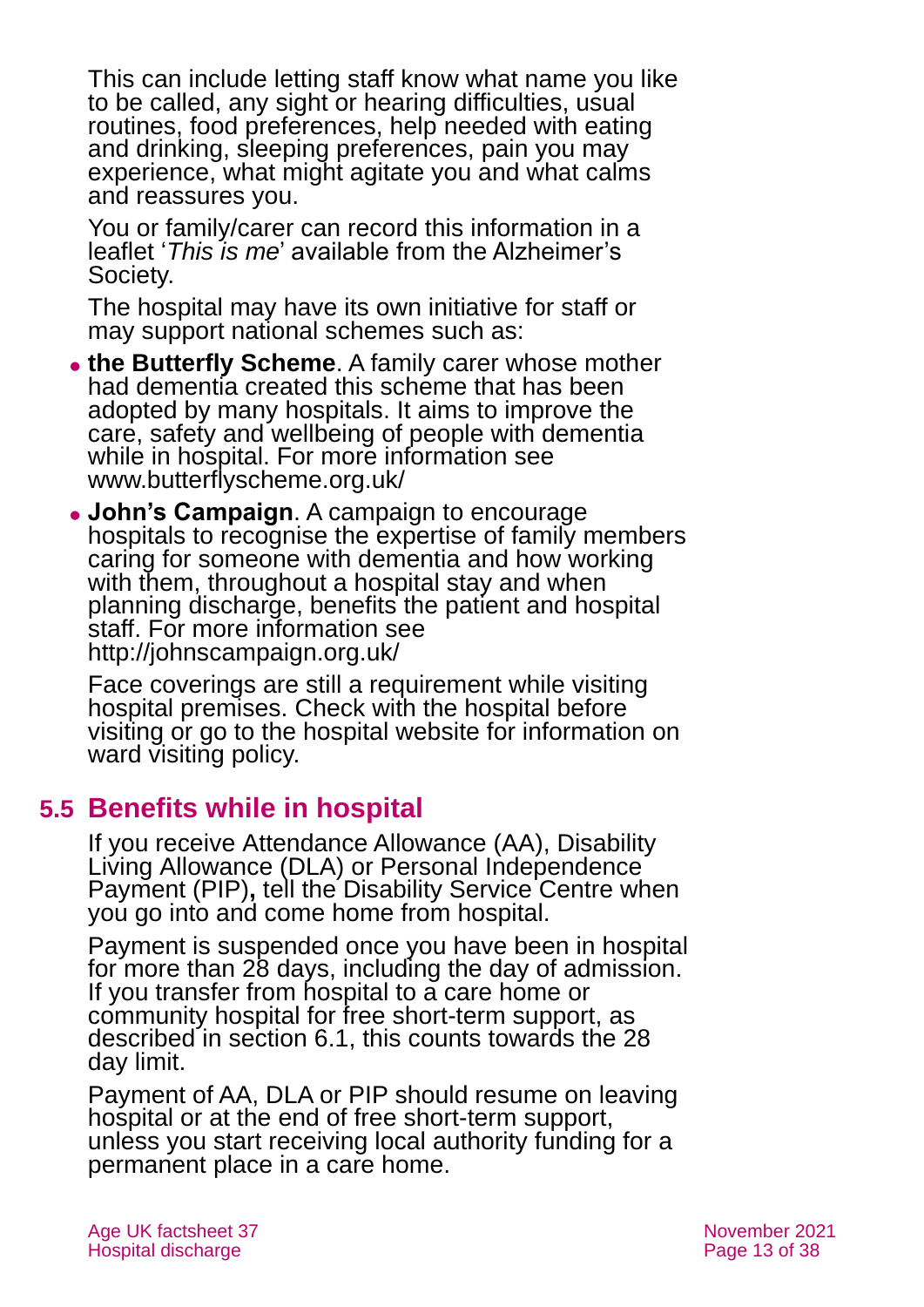This can include letting staff know what name you like to be called, any sight or hearing difficulties, usual routines, food preferences, help needed with eating and drinking, sleeping preferences, pain you may experience, what might agitate you and what calms and reassures you.

You or family/carer can record this information in a leaflet '*[This is me](https://www.alzheimers.org.uk/info/20033/publications_and_factsheets/680/this_is_me)*' available from the [Alzheimer's](#page-32-0)  [Society.](#page-32-0)

The hospital may have its own initiative for staff or may support national schemes such as:

- ⚫ **[the Butterfly Scheme](http://butterflyscheme.org.uk/)**. A family carer whose mother had dementia created this scheme that has been adopted by many hospitals. It aims to improve the care, safety and wellbeing of people with dementia while in hospital. For more information see [www.butterflyscheme.org.uk/](http://www.butterflyscheme.org.uk/)
- ⚫ **[John's Campaign](http://johnscampaign.org.uk/#/)**. A campaign to encourage hospitals to recognise the expertise of family members caring for someone with dementia and how working with them, throughout a hospital stay and when planning discharge, benefits the patient and hospital staff. For more information see <http://johnscampaign.org.uk/>

[Face coverings](https://www.england.nhs.uk/2021/07/nhs-patients-staff-and-visitors-must-continue-to-wear-face-coverings-in-healthcare-settings/) are still a requirement while visiting hospital premises. Check with the hospital before visiting or go to the hospital website for information on ward visiting policy.

## **5.5 Benefits while in hospital**

If you receive Attendance Allowance (AA), Disability Living Allowance (DLA) or Personal Independence Payment (PIP)**,** tell the Disability Service Centre when you go into and come home from hospital.

Payment is suspended once you have been in hospital for more than 28 days, including the day of admission. If you transfer from hospital to a care home or community hospital for free short-term support, as described in [section 6.1,](#page-14-1) this counts towards the 28 day limit.

Payment of AA, DLA or PIP should resume on leaving hospital or at the end of free short-term support, unless you start receiving local authority funding for a permanent place in a care home.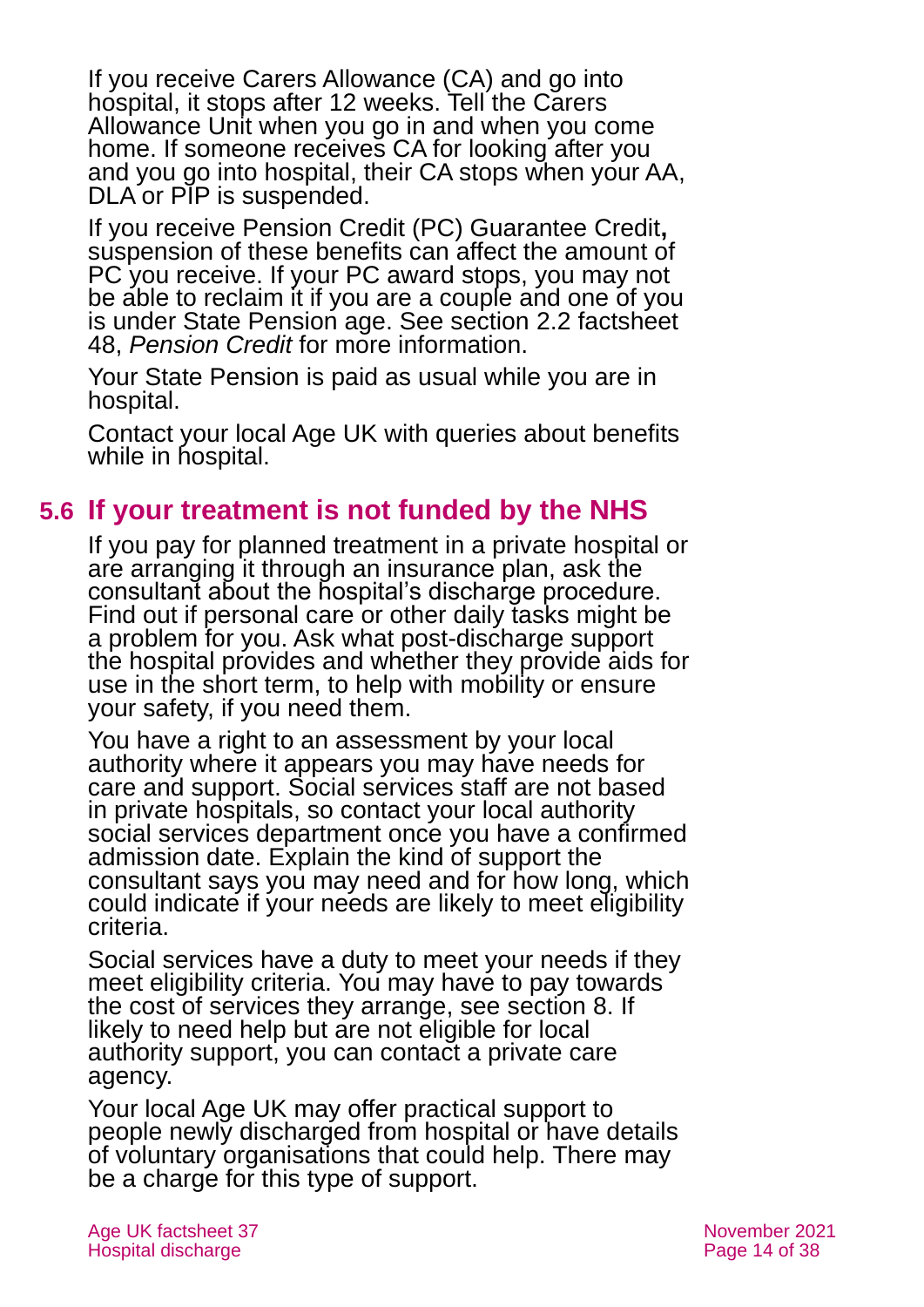If you receive Carers Allowance (CA) and go into hospital, it stops after 12 weeks. Tell the Carers Allowance Unit when you go in and when you come home. If someone receives CA for looking after you and you go into hospital, their CA stops when your AA, DLA or PIP is suspended.

If you receive Pension Credit (PC) Guarantee Credit**,** suspension of these benefits can affect the amount of PC you receive. If your PC award stops, you may not be able to reclaim it if you are a couple and one of you is under State Pension age. See section 2.2 [factsheet](https://www.ageuk.org.uk/globalassets/age-uk/documents/factsheets/fs48_pension_credit_fcs.pdf)  48, *[Pension Credit](https://www.ageuk.org.uk/globalassets/age-uk/documents/factsheets/fs48_pension_credit_fcs.pdf)* for more information.

Your State Pension is paid as usual while you are in hospital.

Contact your local Age UK with queries about benefits while in hospital.

### **5.6 If your treatment is not funded by the NHS**

If you pay for planned treatment in a private hospital or are arranging it through an insurance plan, ask the consultant about the hospital's discharge procedure. Find out if personal care or other daily tasks might be a problem for you. Ask what post-discharge support the hospital provides and whether they provide aids for use in the short term, to help with mobility or ensure your safety, if you need them.

You have a right to an assessment by your local authority where it appears you may have needs for care and support. Social services staff are not based in private hospitals, so contact your local authority social services department once you have a confirmed admission date. Explain the kind of support the consultant says you may need and for how long, which could indicate if your needs are likely to meet eligibility criteria.

Social services have a duty to meet your needs if they meet eligibility criteria. You may have to pay towards the cost of services they arrange, see [section](#page-20-0) 8. If likely to need help but are not eligible for local authority support, you can contact a private care agency.

Your local Age UK may offer practical support to people newly discharged from hospital or have details of voluntary organisations that could help. There may be a charge for this type of support.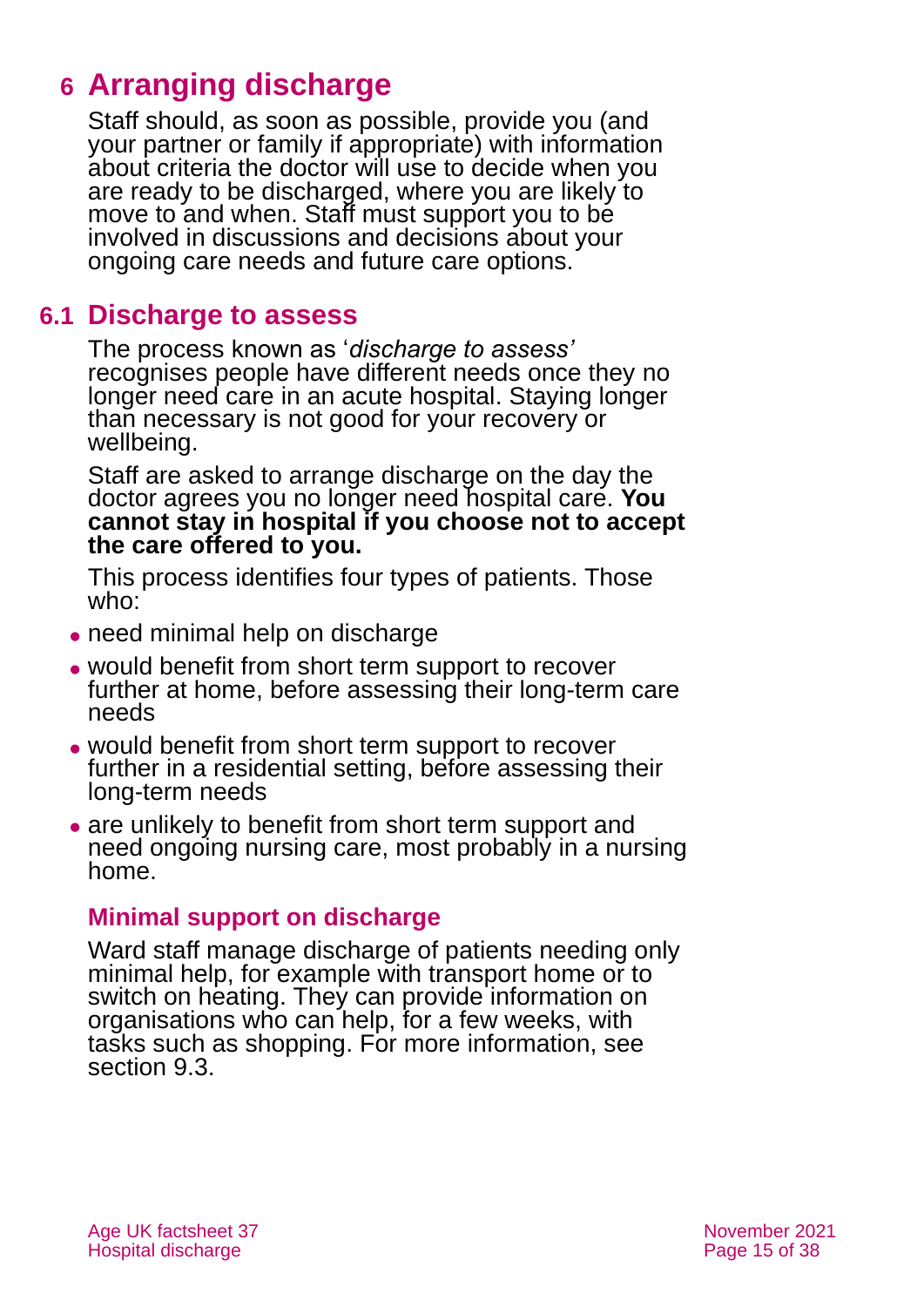## <span id="page-14-0"></span>**6 Arranging discharge**

Staff should, as soon as possible, provide you (and your partner or family if appropriate) with information about criteria the doctor will use to decide when you are ready to be discharged, where you are likely to move to and when. Staff must support you to be involved in discussions and decisions about your ongoing care needs and future care options.

#### <span id="page-14-1"></span>**6.1 Discharge to assess**

The process known as '*discharge to assess'* recognises people have different needs once they no longer need care in an acute hospital. Staying longer than necessary is not good for your recovery or wellbeing.

Staff are asked to arrange discharge on the day the doctor agrees you no longer need hospital care. **You cannot stay in hospital if you choose not to accept the care offered to you.**

This process identifies four types of patients. Those who:

- need minimal help on discharge
- ⚫ would benefit from short term support to recover further at home, before assessing their long-term care needs
- ⚫ would benefit from short term support to recover further in a residential setting, before assessing their long-term needs
- are unlikely to benefit from short term support and need ongoing nursing care, most probably in a nursing home.

#### **Minimal support on discharge**

Ward staff manage discharge of patients needing only minimal help, for example with transport home or to switch on heating. They can provide information on organisations who can help, for a few weeks, with tasks such as shopping. For more information, see [section](#page-25-0) 9.3.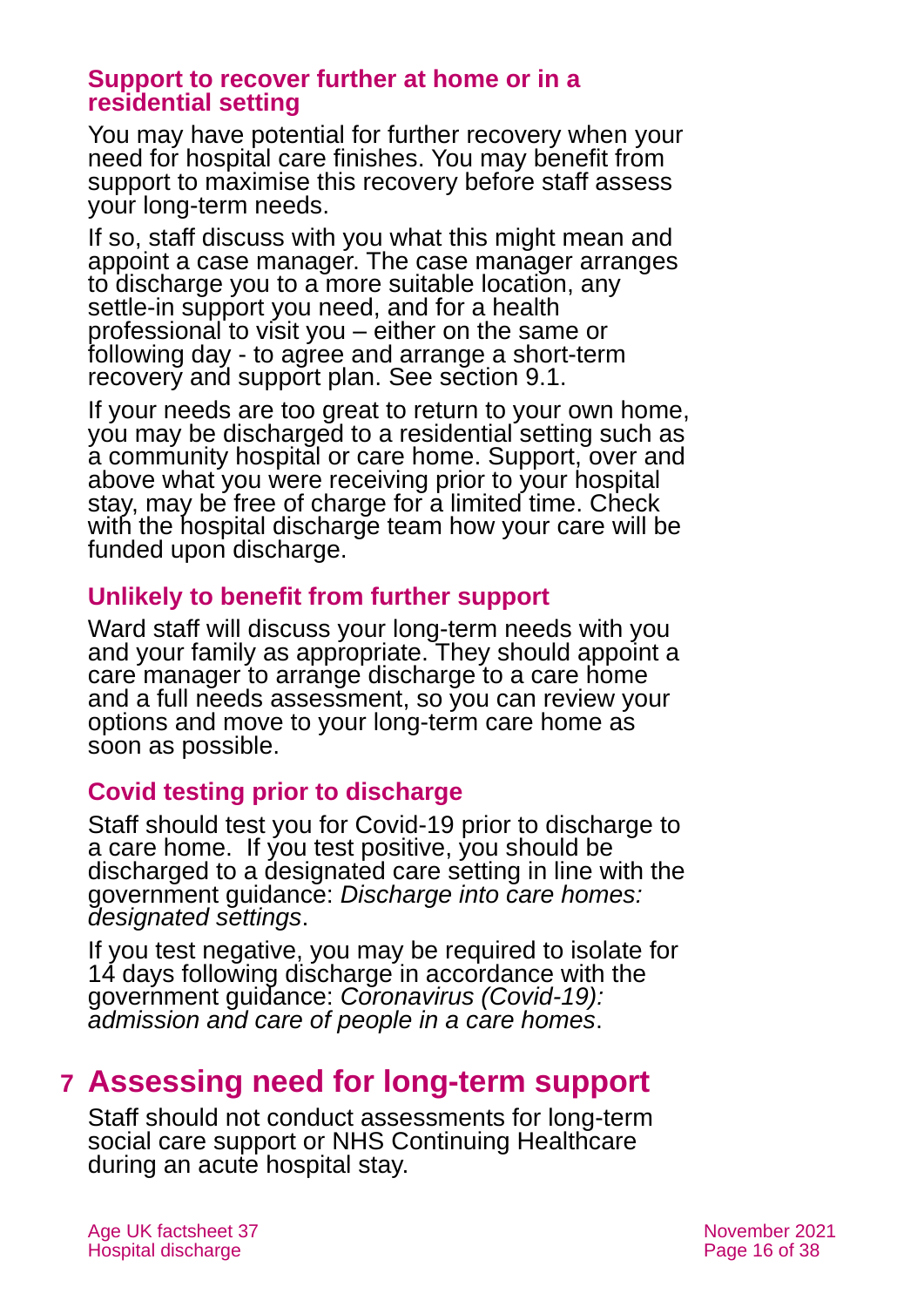#### **Support to recover further at home or in a residential setting**

You may have potential for further recovery when your need for hospital care finishes. You may benefit from support to maximise this recovery before staff assess your long-term needs.

If so, staff discuss with you what this might mean and appoint a case manager. The case manager arranges to discharge you to a more suitable location, any settle-in support you need, and for a health professional to visit you – either on the same or following day - to agree and arrange a short-term recovery and support plan. See [section 9.1.](#page-22-1)

If your needs are too great to return to your own home, you may be discharged to a residential setting such as a community hospital or care home. Support, over and above what you were receiving prior to your hospital stay, may be free of charge for a limited time. Check with the hospital discharge team how your care will be funded upon discharge.

#### **Unlikely to benefit from further support**

Ward staff will discuss your long-term needs with you and your family as appropriate. They should appoint a care manager to arrange discharge to a care home and a full needs assessment, so you can review your options and move to your long-term care home as soon as possible.

#### **Covid testing prior to discharge**

Staff should test you for Covid-19 prior to discharge to a care home. If you test positive, you should be discharged to a designated care setting in line with the government guidance: *[Discharge into care homes:](https://www.gov.uk/government/publications/designated-settings-for-people-discharged-to-a-care-home/discharge-into-care-homes-designated-settings)  [designated settings](https://www.gov.uk/government/publications/designated-settings-for-people-discharged-to-a-care-home/discharge-into-care-homes-designated-settings)*.

If you test negative, you may be required to isolate for 14 days following discharge in accordance with the government guidance: *[Coronavirus \(Covid-19\):](https://www.gov.uk/government/publications/coronavirus-covid-19-admission-and-care-of-people-in-care-homes) [admission and care of people](https://www.gov.uk/government/publications/coronavirus-covid-19-admission-and-care-of-people-in-care-homes) in a care homes*.

## <span id="page-15-0"></span>**7 Assessing need for long-term support**

Staff should not conduct assessments for long-term social care support or NHS Continuing Healthcare during an acute hospital stay.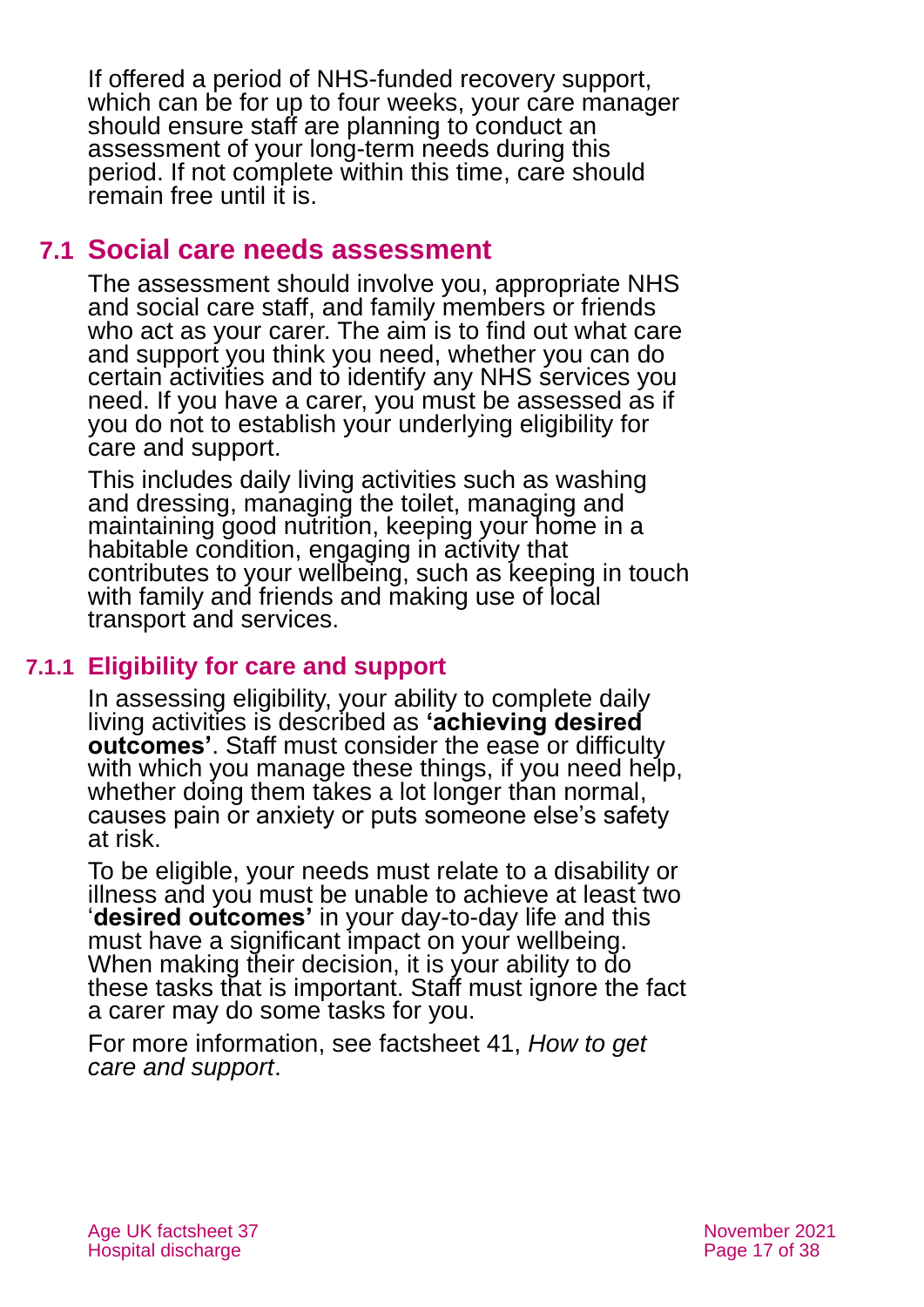If offered a period of NHS-funded recovery support, which can be for up to four weeks, your care manager should ensure staff are planning to conduct an assessment of your long-term needs during this period. If not complete within this time, care should remain free until it is.

#### **7.1 Social care needs assessment**

The assessment should involve you, appropriate NHS and social care staff, and family members or friends who act as your carer. The aim is to find out what care and support you think you need, whether you can do certain activities and to identify any NHS services you need. If you have a carer, you must be assessed as if you do not to establish your underlying eligibility for care and support.

This includes daily living activities such as washing and dressing, managing the toilet, managing and maintaining good nutrition, keeping your home in a habitable condition, engaging in activity that contributes to your wellbeing, such as keeping in touch with family and friends and making use of local transport and services.

#### **7.1.1 Eligibility for care and support**

In assessing eligibility, your ability to complete daily living activities is described as **'achieving desired outcomes'**. Staff must consider the ease or difficulty with which you manage these things, if you need help, whether doing them takes a lot longer than normal, causes pain or anxiety or puts someone else's safety at risk.

To be eligible, your needs must relate to a disability or illness and you must be unable to achieve at least two '**desired outcomes'** in your day-to-day life and this must have a significant impact on your wellbeing. When making their decision, it is your ability to do these tasks that is important. Staff must ignore the fact a carer may do some tasks for you.

For more information, see [factsheet 41,](https://www.ageuk.org.uk/globalassets/age-uk/documents/factsheets/fs41_how_to_get_care_and_support_fcs.pdf) *How to get [care and support](https://www.ageuk.org.uk/globalassets/age-uk/documents/factsheets/fs41_how_to_get_care_and_support_fcs.pdf)*.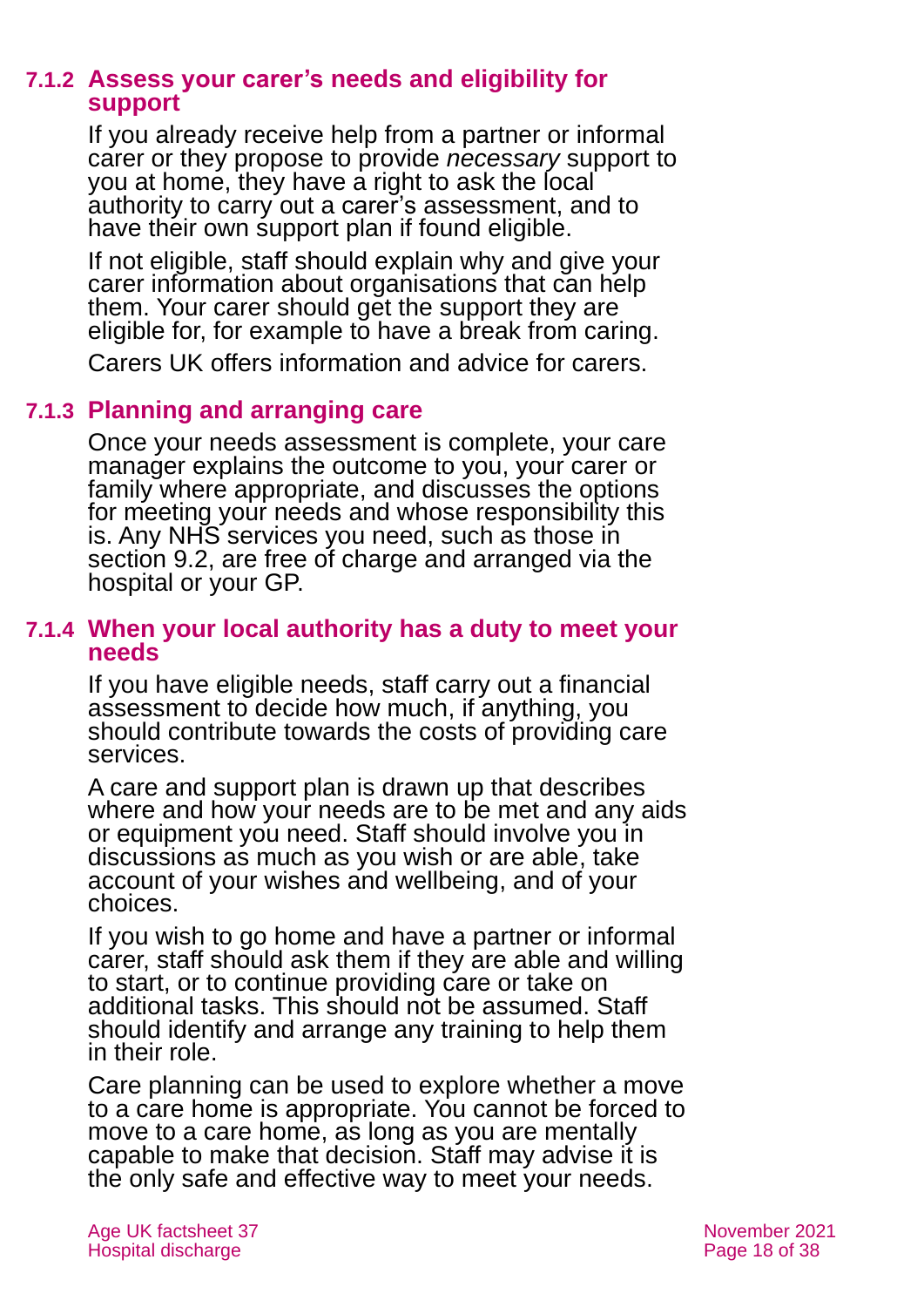#### **7.1.2 Assess your carer's needs and eligibility for support**

If you already receive help from a partner or informal carer or they propose to provide *necessary* support to you at home, they have a right to ask the local authority to carry out a carer's assessment, and to have their own support plan if found eligible.

If not eligible, staff should explain why and give your carer information about organisations that can help them. Your carer should get the support they are eligible for, for example to have a break from caring.

[Carers UK](https://www.carersuk.org/) offers information and advice for carers.

#### **7.1.3 Planning and arranging care**

Once your needs assessment is complete, your care manager explains the outcome to you, your carer or family where appropriate, and discusses the options for meeting your needs and whose responsibility this is. Any NHS services you need, such as those in [section 9.2,](#page-24-0) are free of charge and arranged via [the](#page-24-0)  hospital or your GP.

#### **7.1.4 When your local authority has a duty to meet your needs**

If you have eligible needs, staff carry out a financial assessment to decide how much, if anything, you should contribute towards the costs of providing care services.

A care and support plan is drawn up that describes where and how your needs are to be met and any aids or equipment you need. Staff should involve you in discussions as much as you wish or are able, take account of your wishes and wellbeing, and of your choices.

If you wish to go home and have a partner or informal carer, staff should ask them if they are able and willing to start, or to continue providing care or take on additional tasks. This should not be assumed. Staff should identify and arrange any training to help them in their role.

Care planning can be used to explore whether a move to a care home is appropriate. You cannot be forced to move to a care home, as long as you are mentally capable to make that decision. Staff may advise it is the only safe and effective way to meet your needs.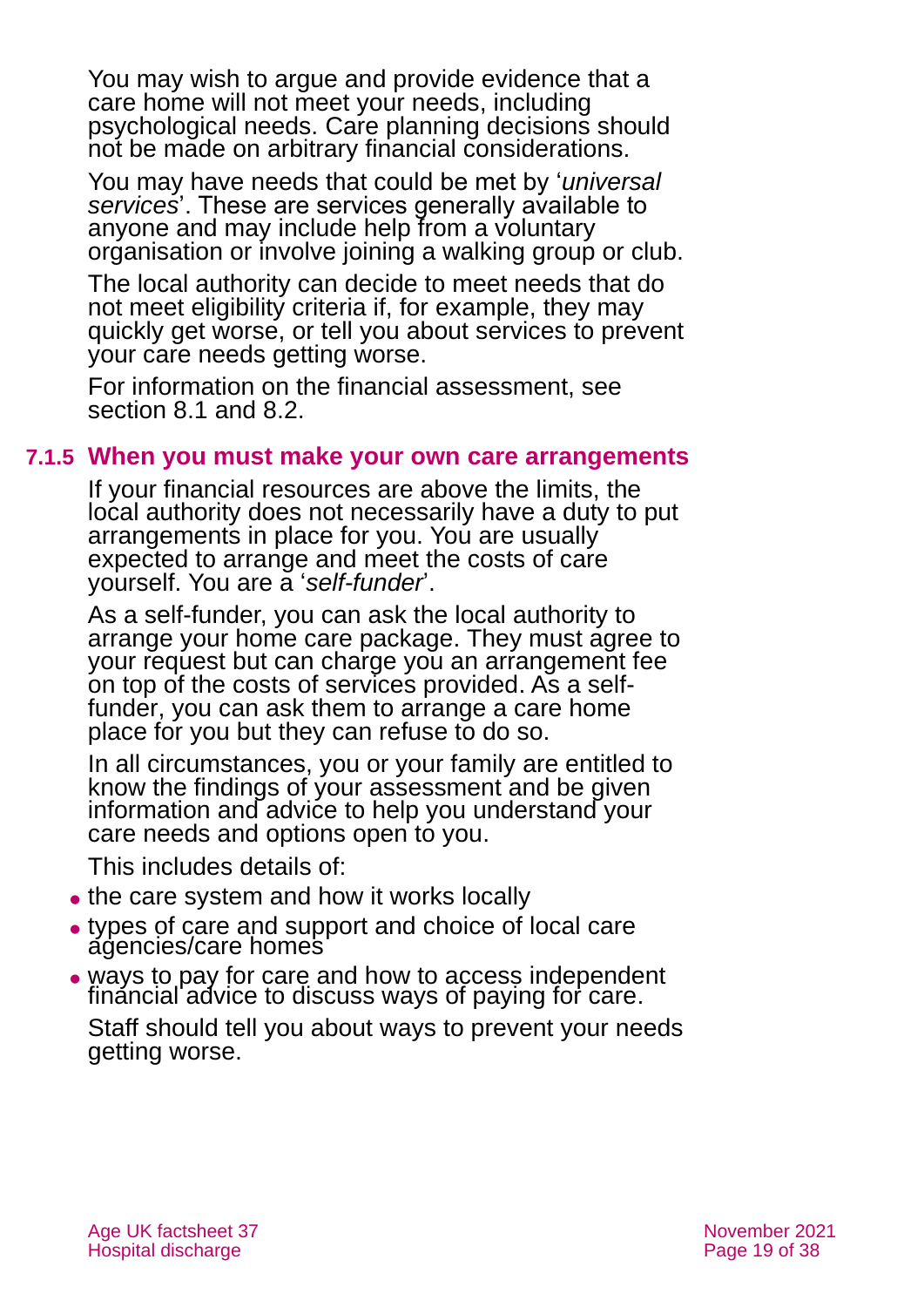You may wish to argue and provide evidence that a care home will not meet your needs, including psychological needs. Care planning decisions should not be made on arbitrary financial considerations.

You may have needs that could be met by '*universal services*'. These are services generally available to anyone and may include help from a voluntary organisation or involve joining a walking group or club.

The local authority can decide to meet needs that do not meet eligibility criteria if, for example, they may quickly get worse, or tell you about services to prevent your care needs getting worse.

For information on the financial assessment, see [section 8.1](#page-21-0) [and 8.2.](#page-21-1)

#### **7.1.5 When you must make your own care arrangements**

If your financial resources are above the limits, the local authority does not necessarily have a duty to put arrangements in place for you. You are usually expected to arrange and meet the costs of care yourself. You are a '*self-funder*'.

As a self-funder, you can ask the local authority to arrange your home care package. They must agree to your request but can charge you an arrangement fee on top of the costs of services provided. As a selffunder, you can ask them to arrange a care home place for you but they can refuse to do so.

In all circumstances, you or your family are entitled to know the findings of your assessment and be given information and advice to help you understand your care needs and options open to you.

This includes details of:

- the care system and how it works locally
- ⚫ types of care and support and choice of local care agencies/care homes
- ⚫ ways to pay for care and how to access independent financial advice to discuss ways of paying for care.

Staff should tell you about ways to prevent your needs getting worse.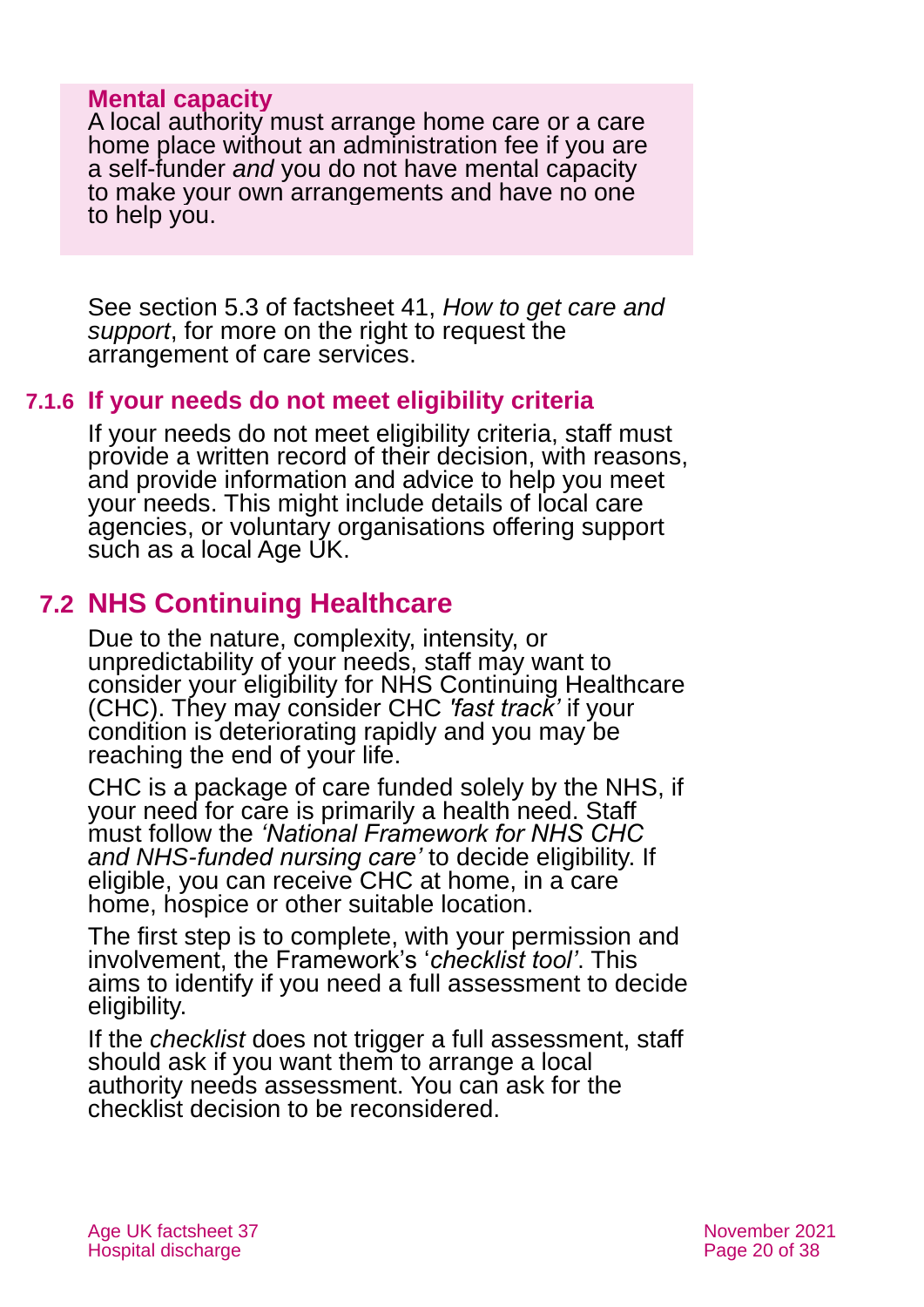#### **Mental capacity**

A local authority must arrange home care or a care home place without an administration fee if you are a self-funder *and* you do not have mental capacity to make your own arrangements and have no one to help you.

See section 5.3 of factsheet 41, *[How to get care and](https://www.ageuk.org.uk/globalassets/age-uk/documents/factsheets/fs41_how_to_get_care_and_support_fcs.pdf)  [support](https://www.ageuk.org.uk/globalassets/age-uk/documents/factsheets/fs41_how_to_get_care_and_support_fcs.pdf)*, for more on the right to request the arrangement of care services.

#### **7.1.6 If your needs do not meet eligibility criteria**

If your needs do not meet eligibility criteria, staff must provide a written record of their decision, with reasons, and provide information and advice to help you meet your needs. This might include details of local care agencies, or voluntary organisations offering support such as a local Age UK.

### <span id="page-19-0"></span>**7.2 NHS Continuing Healthcare**

Due to the nature, complexity, intensity, or unpredictability of your needs, staff may want to consider your eligibility for NHS Continuing Healthcare (CHC). They may consider CHC *'fast track'* if your condition is deteriorating rapidly and you may be reaching the end of your life.

CHC is a package of care funded solely by the NHS, if your need for care is primarily a health need. Staff must follow the *['National Framework for NHS CHC](https://www.gov.uk/government/collections/nhs-continuing-healthcare-and-nhs-funded-nursing-care)  [and NHS-funded nursing care'](https://www.gov.uk/government/collections/nhs-continuing-healthcare-and-nhs-funded-nursing-care)* to decide eligibility. If eligible, you can receive CHC at home, in a care home, hospice or other suitable location.

The first step is to complete, with your permission and involvement, the Framework's '*checklist tool'*. This aims to identify if you need a full assessment to decide eligibility.

If the *checklist* does not trigger a full assessment, staff should ask if you want them to arrange a local authority needs assessment. You can ask for the checklist decision to be reconsidered.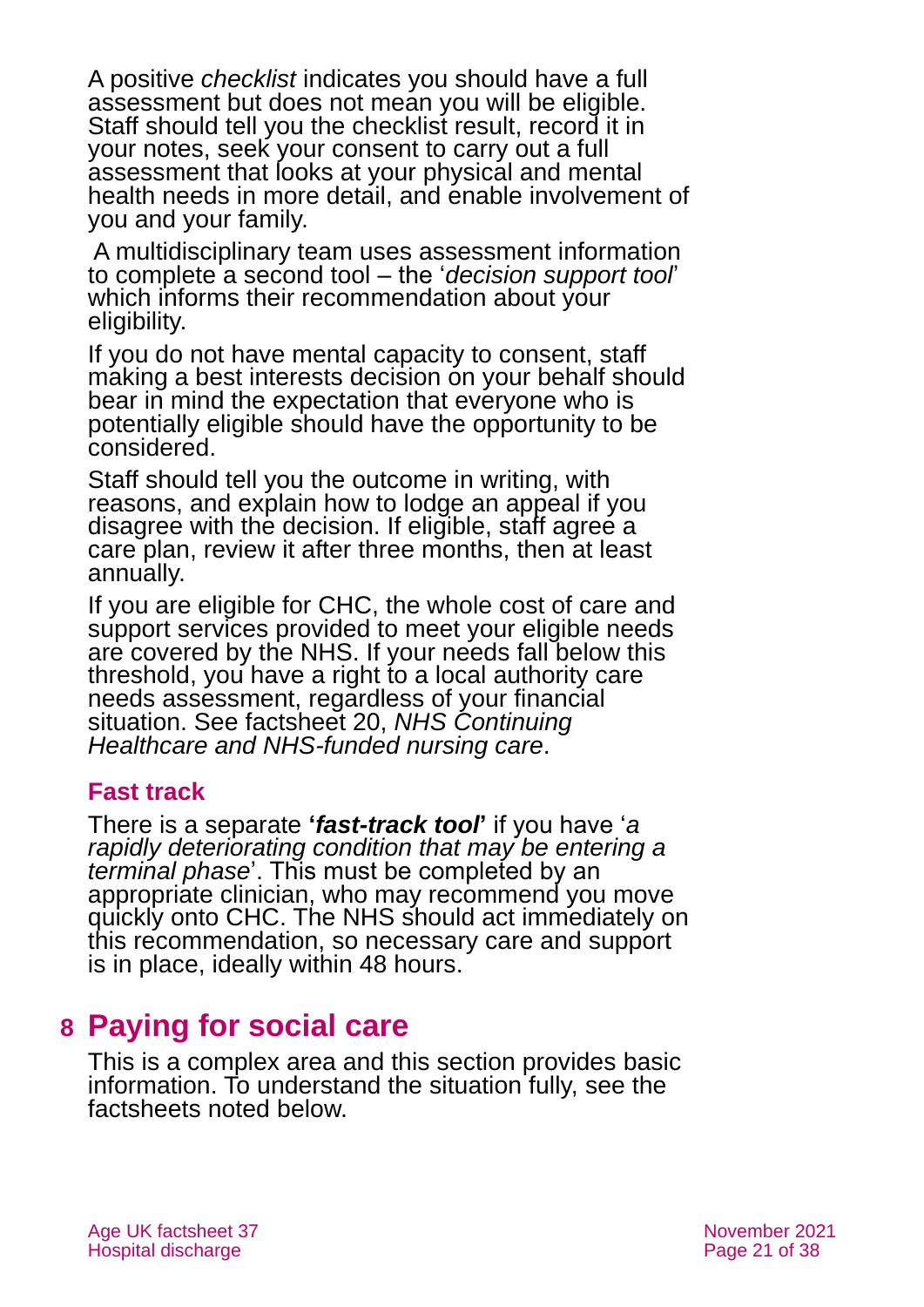A positive *checklist* indicates you should have a full assessment but does not mean you will be eligible. Staff should tell you the checklist result, record it in your notes, seek your consent to carry out a full assessment that looks at your physical and mental health needs in more detail, and enable involvement of you and your family.

A multidisciplinary team uses assessment information to complete a second tool – the '*decision support tool*' which informs their recommendation about your eligibility.

If you do not have mental capacity to consent, staff making a best interests decision on your behalf should bear in mind the expectation that everyone who is potentially eligible should have the opportunity to be considered.

Staff should tell you the outcome in writing, with reasons, and explain how to lodge an appeal if you disagree with the decision. If eligible, staff agree a care plan, review it after three months, then at least annually.

If you are eligible for CHC, the whole cost of care and support services provided to meet your eligible needs are covered by the NHS. If your needs fall below this threshold, you have a right to a local authority care needs assessment, regardless of your financial situation. See factsheet 20, *[NHS Continuing](https://www.ageuk.org.uk/globalassets/age-uk/documents/factsheets/fs20_nhs_continuing_healthcare_and_nhs-funded_nursing_care_fcs.pdf)  [Healthcare and NHS-funded nursing care](https://www.ageuk.org.uk/globalassets/age-uk/documents/factsheets/fs20_nhs_continuing_healthcare_and_nhs-funded_nursing_care_fcs.pdf)*.

#### **Fast track**

There is a separate **'***fast-track tool***'** if you have '*a rapidly deteriorating condition that may be entering a terminal phase*'. This must be completed by an appropriate clinician, who may recommend you move quickly onto CHC. The NHS should act immediately on this recommendation, so necessary care and support is in place, ideally within 48 hours.

## <span id="page-20-0"></span>**8 Paying for social care**

This is a complex area and this section provides basic information. To understand the situation fully, see the factsheets noted below.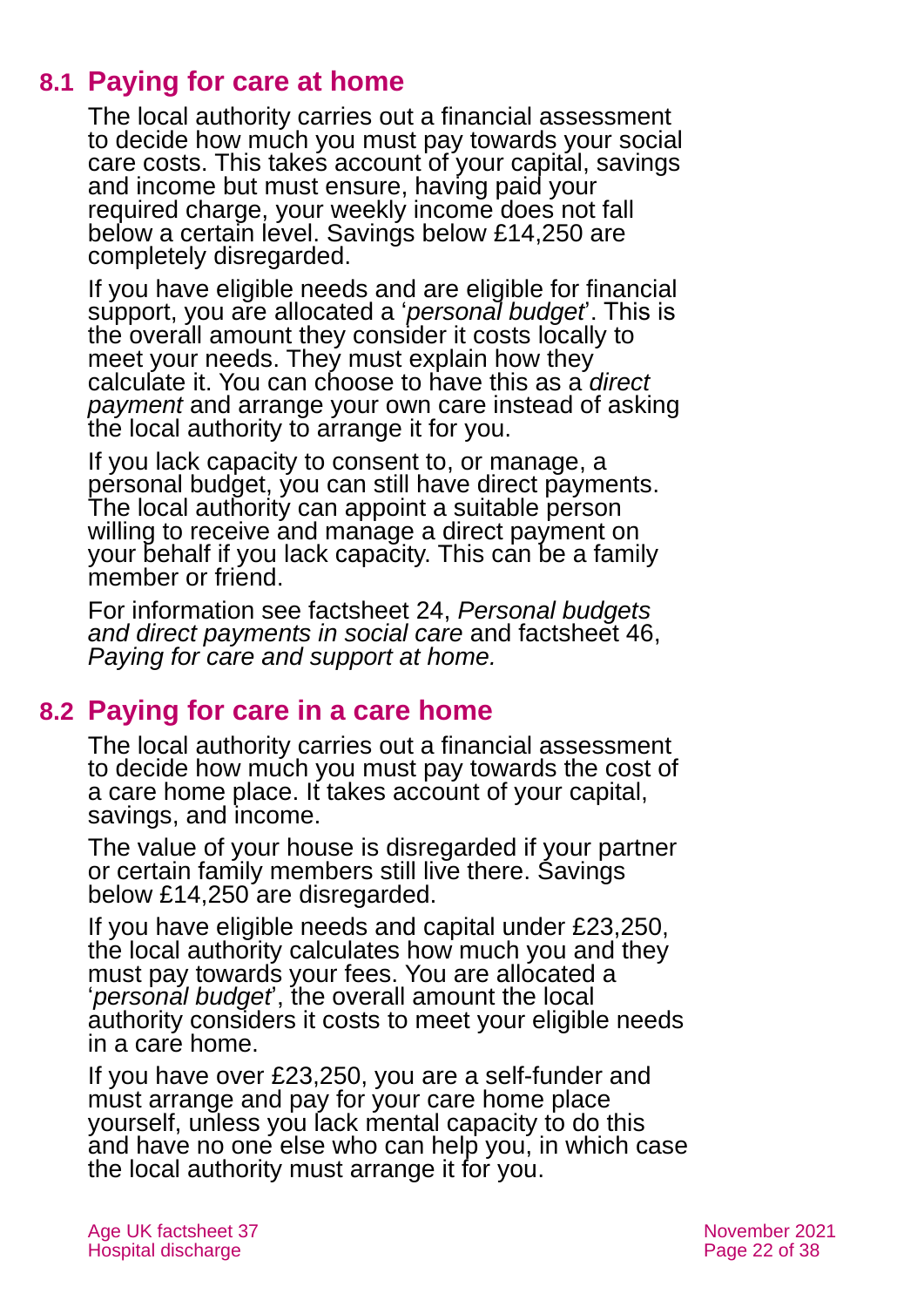## **8.1 Paying for care at home**

<span id="page-21-0"></span>The local authority carries out a financial assessment to decide how much you must pay towards your social care costs. This takes account of your capital, savings and income but must ensure, having paid your required charge, your weekly income does not fall below a certain level. Savings below £14,250 are completely disregarded.

If you have eligible needs and are eligible for financial support, you are allocated a '*personal budget*'. This is the overall amount they consider it costs locally to meet your needs. They must explain how they calculate it. You can choose to have this as a *direct payment* and arrange your own care instead of asking the local authority to arrange it for you.

If you lack capacity to consent to, or manage, a personal budget, you can still have direct payments. The local authority can appoint a suitable person willing to receive and manage a direct payment on your behalf if you lack capacity. This can be a family member or friend.

For information see factsheet 24, *[Personal budgets](https://www.ageuk.org.uk/globalassets/age-uk/documents/factsheets/fs24_personal_budgets_and_direct_payments_in_social_care_fcs.pdf)  [and direct payments in social care](https://www.ageuk.org.uk/globalassets/age-uk/documents/factsheets/fs24_personal_budgets_and_direct_payments_in_social_care_fcs.pdf)* and factsheet 46, *[Paying for care and support at home.](https://www.ageuk.org.uk/globalassets/age-uk/documents/factsheets/fs46_paying_for_care_and_support_at_home_fcs.pdf?dtrk=true)*

#### <span id="page-21-1"></span>**8.2 Paying for care in a care home**

The local authority carries out a financial assessment to decide how much you must pay towards the cost of a care home place. It takes account of your capital, savings, and income.

The value of your house is disregarded if your partner or certain family members still live there. Savings below £14,250 are disregarded.

If you have eligible needs and capital under £23,250, the local authority calculates how much you and they must pay towards your fees. You are allocated a '*personal budget*', the overall amount the local authority considers it costs to meet your eligible needs in a care home.

If you have over £23,250, you are a self-funder and must arrange and pay for your care home place yourself, unless you lack mental capacity to do this and have no one else who can help you, in which case the local authority must arrange it for you.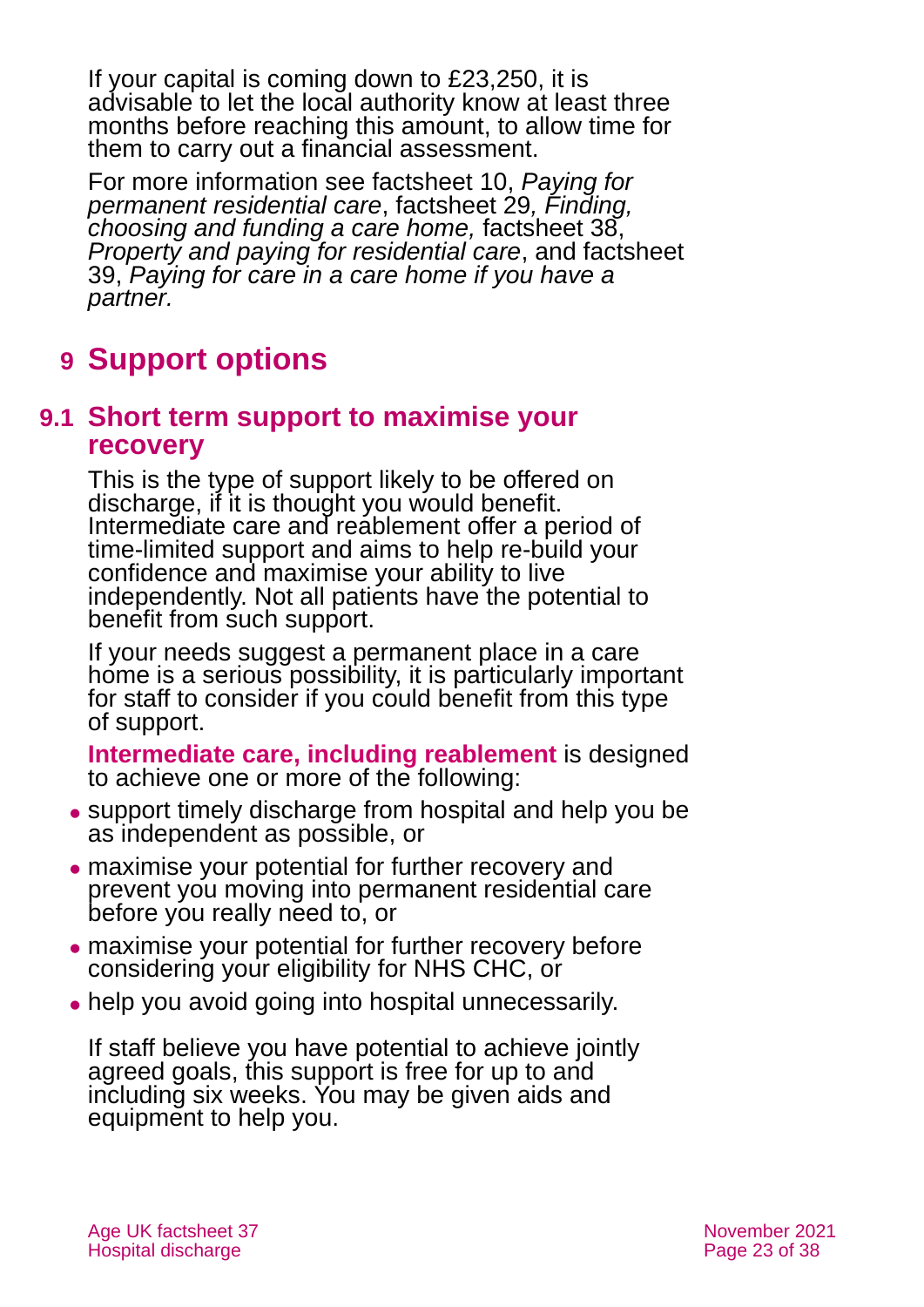If your capital is coming down to £23,250, it is advisable to let the local authority know at least three months before reaching this amount, to allow time for them to carry out a financial assessment.

For more information see factsheet 10, *[Paying for](https://www.ageuk.org.uk/globalassets/age-uk/documents/factsheets/fs10_paying_for_permanent_residential_care_fcs.pdf)  [permanent residential care](https://www.ageuk.org.uk/globalassets/age-uk/documents/factsheets/fs10_paying_for_permanent_residential_care_fcs.pdf)*, factsheet 29*, [Finding,](https://www.ageuk.org.uk/globalassets/age-uk/documents/factsheets/fs29_finding_choosing_and_funding_a_care_home_fcs.pdf)  [choosing and funding a care home,](https://www.ageuk.org.uk/globalassets/age-uk/documents/factsheets/fs29_finding_choosing_and_funding_a_care_home_fcs.pdf)* factsheet 38, *[Property and paying for residential care](https://www.ageuk.org.uk/globalassets/age-uk/documents/factsheets/fs38_property_and_paying_for_residential_care_fcs.pdf)*, and factsheet 39, *[Paying for care in a care home if you have a](https://www.ageuk.org.uk/globalassets/age-uk/documents/factsheets/fs39-paying-for-care-in-a-care-home-if-you-have-a-partner.pdf)  [partner.](https://www.ageuk.org.uk/globalassets/age-uk/documents/factsheets/fs39-paying-for-care-in-a-care-home-if-you-have-a-partner.pdf)*

## <span id="page-22-1"></span><span id="page-22-0"></span>**9 Support options**

#### **9.1 Short term support to maximise your recovery**

This is the type of support likely to be offered on discharge, if it is thought you would benefit. Intermediate care and reablement offer a period of time-limited support and aims to help re-build your confidence and maximise your ability to live independently. Not all patients have the potential to benefit from such support.

If your needs suggest a permanent place in a care home is a serious possibility, it is particularly important for staff to consider if you could benefit from this type of support.

**Intermediate care, including reablement** is designed to achieve one or more of the following:

- ⚫ support timely discharge from hospital and help you be as independent as possible, or
- ⚫ maximise your potential for further recovery and prevent you moving into permanent residential care before you really need to, or
- ⚫ maximise your potential for further recovery before considering your eligibility for NHS CHC, or
- help you avoid going into hospital unnecessarily.

If staff believe you have potential to achieve jointly agreed goals, this support is free for up to and including six weeks. You may be given aids and equipment to help you.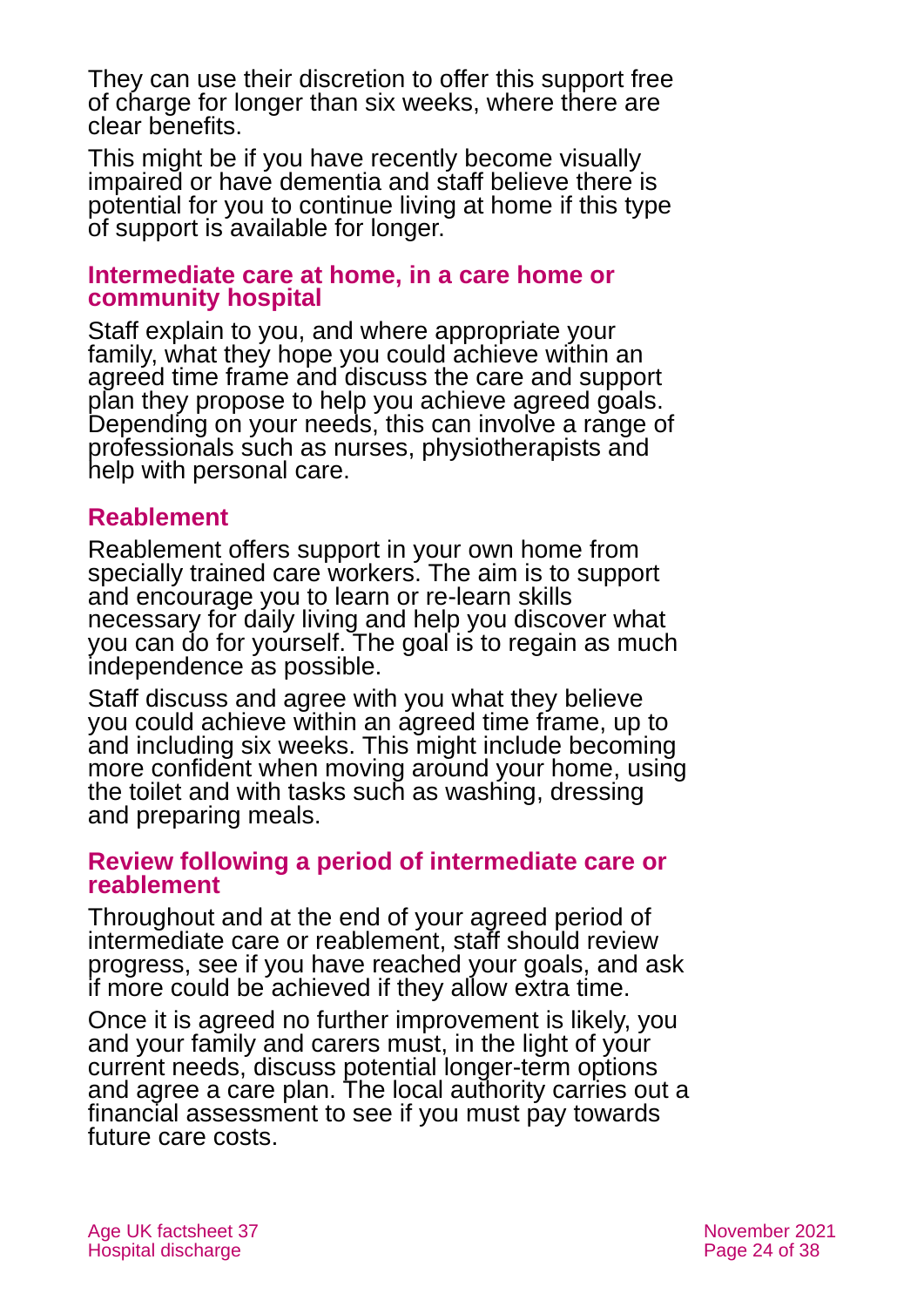They can use their discretion to offer this support free of charge for longer than six weeks, where there are clear benefits.

This might be if you have recently become visually impaired or have dementia and staff believe there is potential for you to continue living at home if this type of support is available for longer.

#### **Intermediate care at home, in a care home or community hospital**

Staff explain to you, and where appropriate your family, what they hope you could achieve within an agreed time frame and discuss the care and support plan they propose to help you achieve agreed goals. Depending on your needs, this can involve a range of professionals such as nurses, physiotherapists and help with personal care.

#### **Reablement**

Reablement offers support in your own home from specially trained care workers. The aim is to support and encourage you to learn or re-learn skills necessary for daily living and help you discover what you can do for yourself. The goal is to regain as much independence as possible.

Staff discuss and agree with you what they believe you could achieve within an agreed time frame, up to and including six weeks. This might include becoming more confident when moving around your home, using the toilet and with tasks such as washing, dressing and preparing meals.

#### **Review following a period of intermediate care or reablement**

Throughout and at the end of your agreed period of intermediate care or reablement, staff should review progress, see if you have reached your goals, and ask if more could be achieved if they allow extra time.

Once it is agreed no further improvement is likely, you and your family and carers must, in the light of your current needs, discuss potential longer-term options and agree a care plan. The local authority carries out a financial assessment to see if you must pay towards future care costs.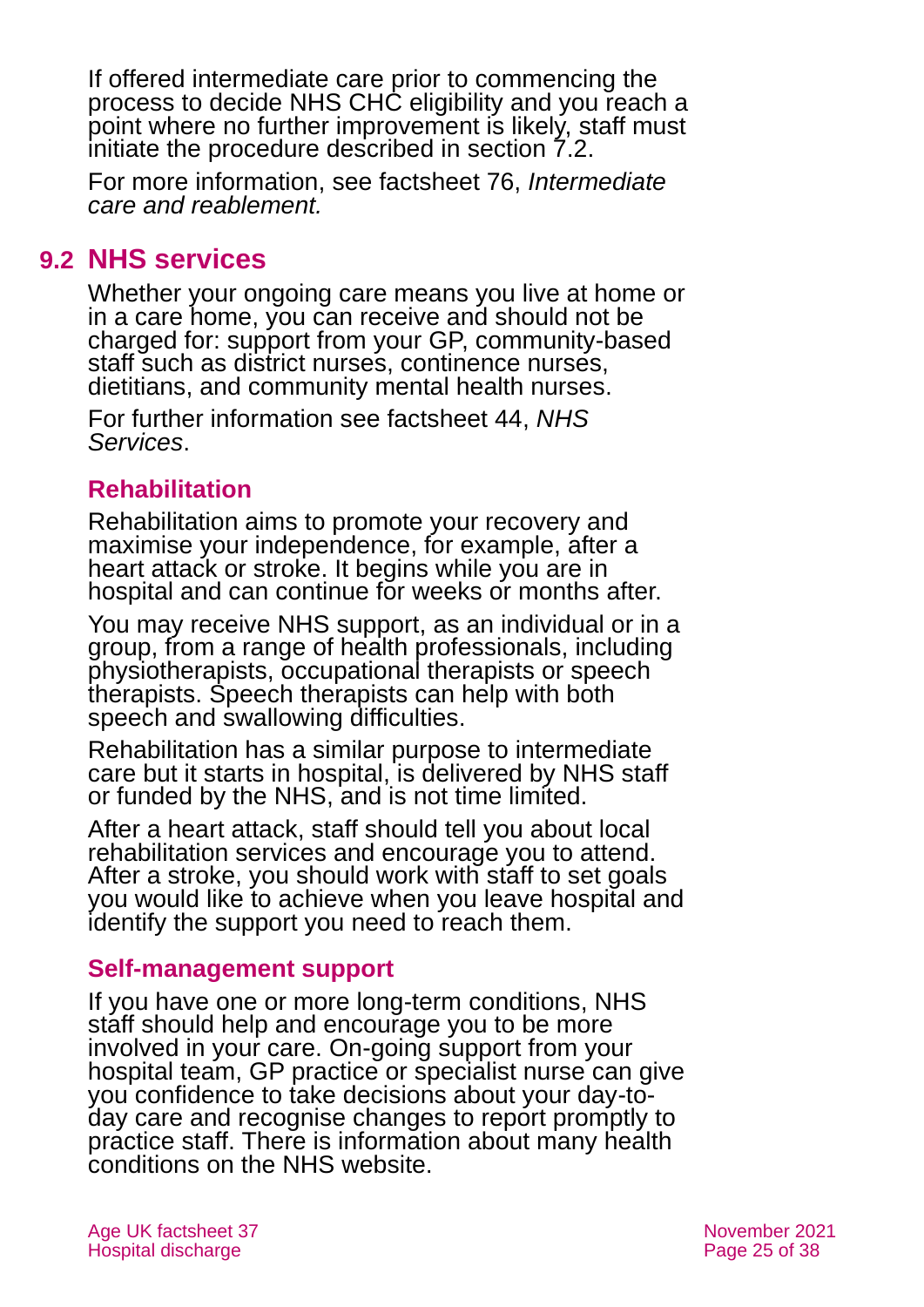If offered intermediate care prior to commencing the process to decide NHS CHC eligibility and you reach a point where no further improvement is likely, staff must initiate the procedure described in [section 7.2.](#page-19-0)

<span id="page-24-0"></span>For more information, see factsheet 76, *[Intermediate](https://www.ageuk.org.uk/globalassets/age-uk/documents/factsheets/fs76_intermediate_care_and_reablement_fcs.pdf)  [care and reablement.](https://www.ageuk.org.uk/globalassets/age-uk/documents/factsheets/fs76_intermediate_care_and_reablement_fcs.pdf)*

### **9.2 NHS services**

Whether your ongoing care means you live at home or in a care home, you can receive and should not be charged for: support from your GP, community-based staff such as district nurses, continence nurses, dietitians, and community mental health nurses.

For further information see factsheet 44, *[NHS](https://www.ageuk.org.uk/globalassets/age-uk/documents/factsheets/fs44_nhs_services_fcs.pdf)  [Services](https://www.ageuk.org.uk/globalassets/age-uk/documents/factsheets/fs44_nhs_services_fcs.pdf)*.

#### **Rehabilitation**

Rehabilitation aims to promote your recovery and maximise your independence, for example, after a heart attack or stroke. It begins while you are in hospital and can continue for weeks or months after.

You may receive NHS support, as an individual or in a group, from a range of health professionals, including physiotherapists, occupational therapists or speech therapists. Speech therapists can help with both speech and swallowing difficulties.

Rehabilitation has a similar purpose to intermediate care but it starts in hospital, is delivered by NHS staff or funded by the NHS, and is not time limited.

After a heart attack, staff should tell you about local rehabilitation services and encourage you to attend. After a stroke, you should work with staff to set goals you would like to achieve when you leave hospital and identify the support you need to reach them.

#### **Self-management support**

If you have one or more long-term conditions, NHS staff should help and encourage you to be more involved in your care. On-going support from your hospital team, GP practice or specialist nurse can give you confidence to take decisions about your day-today care and recognise changes to report promptly to practice staff. There is information about many health conditions on the [NHS w](http://www.nhs.uk/pages/home.aspx)ebsite.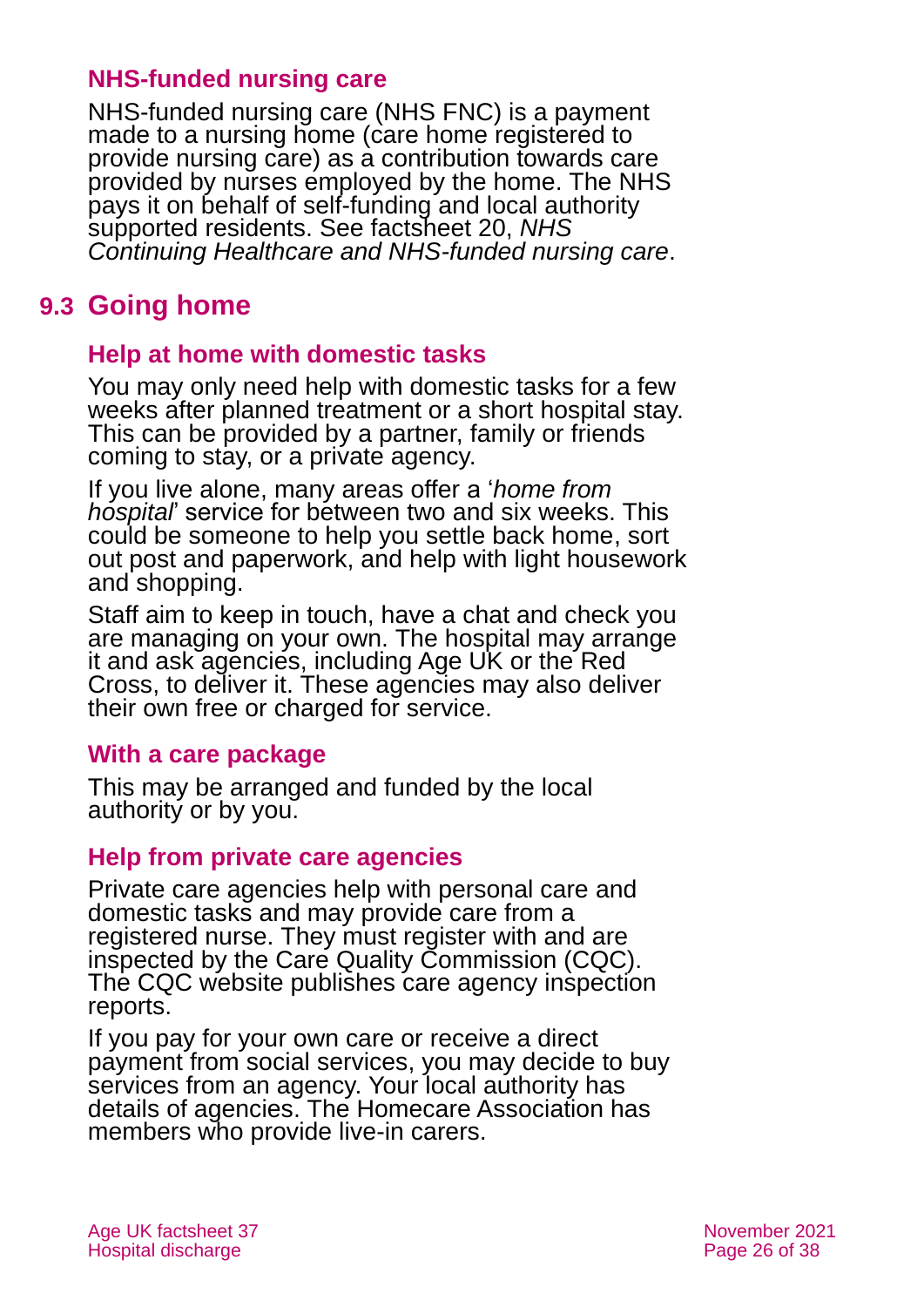#### **NHS-funded nursing care**

NHS-funded nursing care (NHS FNC) is a payment made to a nursing home (care home registered to provide nursing care) as a contribution towards care provided by nurses employed by the home. The NHS pays it on behalf of self-funding and local authority supported residents. See factsheet 20, *[NHS](https://www.ageuk.org.uk/globalassets/age-uk/documents/factsheets/fs20_nhs_continuing_healthcare_and_nhs-funded_nursing_care_fcs.pdf)  [Continuing Healthcare and NHS-funded nursing care](https://www.ageuk.org.uk/globalassets/age-uk/documents/factsheets/fs20_nhs_continuing_healthcare_and_nhs-funded_nursing_care_fcs.pdf)*.

### <span id="page-25-0"></span>**9.3 Going home**

#### **Help at home with domestic tasks**

You may only need help with domestic tasks for a few weeks after planned treatment or a short hospital stay. This can be provided by a partner, family or friends coming to stay, or a private agency.

If you live alone, many areas offer a '*home from hospital*' service for between two and six weeks. This could be someone to help you settle back home, sort out post and paperwork, and help with light housework and shopping.

Staff aim to keep in touch, have a chat and check you are managing on your own. The hospital may arrange it and ask agencies, including Age UK or the Red Cross, to deliver it. These agencies may also deliver their own free or charged for service.

#### **With a care package**

This may be arranged and funded by the local authority or by you.

#### **Help from private care agencies**

Private care agencies help with personal care and domestic tasks and may provide care from a registered nurse. They must register with and are inspected by the Care Quality Commission (CQC). The CQC website publishes care agency inspection reports.

If you pay for your own care or receive a direct payment from social services, you may decide to buy services from an agency. Your local authority has details of agencies. The [Homecare Association](https://www.homecareassociation.org.uk/) has members who provide live-in carers.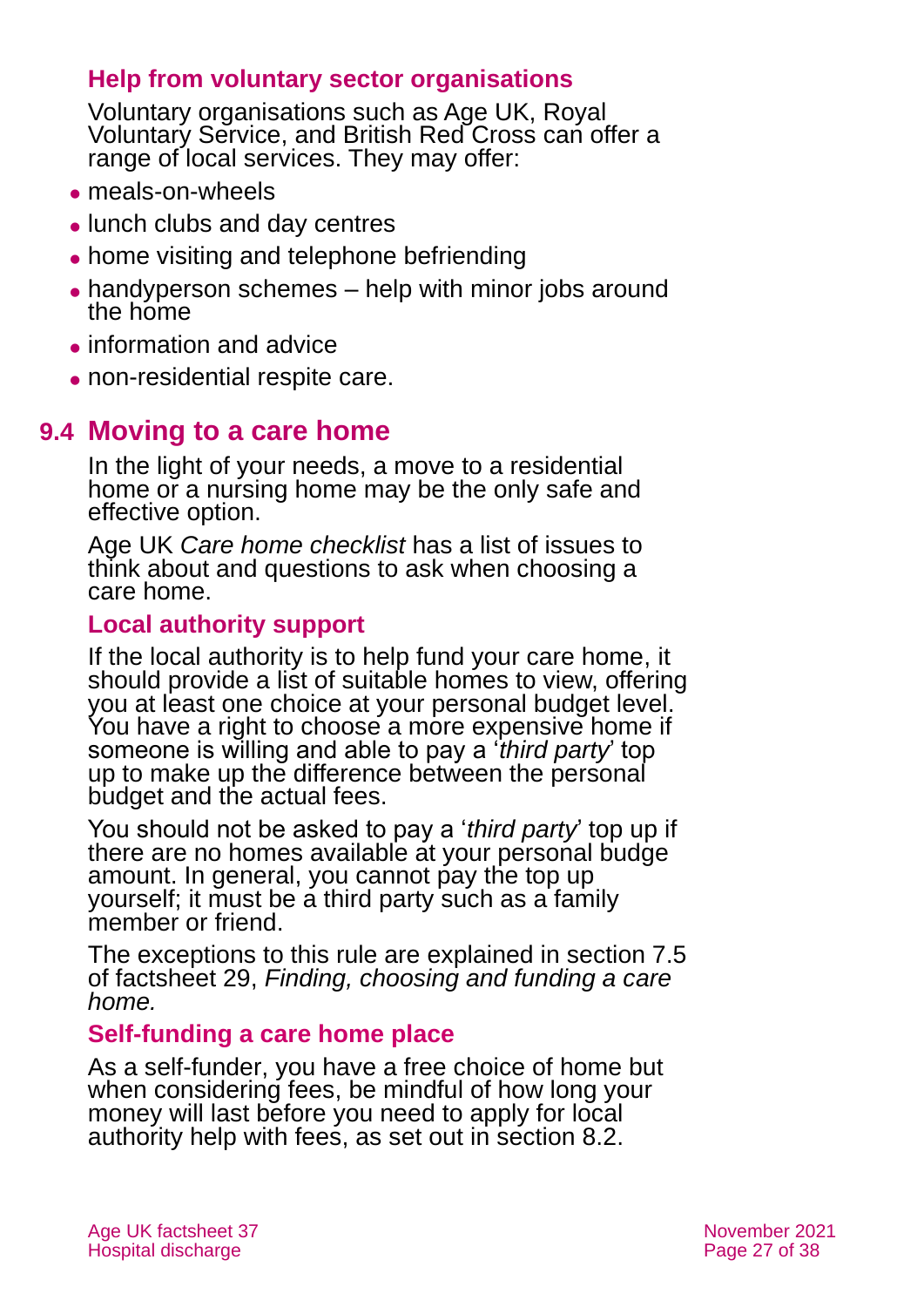#### **Help from voluntary sector organisations**

Voluntary organisations such as Age UK, Royal Voluntary Service, and British Red Cross can offer a range of local services. They may offer:

- meals-on-wheels
- lunch clubs and day centres
- ⚫ home visiting and telephone befriending
- handyperson schemes help with minor jobs around the home
- information and advice
- non-residential respite care.

### **9.4 Moving to a care home**

In the light of your needs, a move to a residential home or a nursing home may be the only safe and effective option.

Age UK *[Care home checklist](https://www.ageuk.org.uk/globalassets/age-uk/documents/information-guides/ageukil5_care_home_checklist_inf.pdf)* has a list of issues to think about and questions to ask when choosing a care home.

#### **Local authority support**

If the local authority is to help fund your care home, it should provide a list of suitable homes to view, offering you at least one choice at your personal budget level. You have a right to choose a more expensive home if someone is willing and able to pay a '*third party*' top up to make up the difference between the personal budget and the actual fees.

You should not be asked to pay a '*third party*' top up if there are no homes available at your personal budge amount. In general, you cannot pay the top up yourself; it must be a third party such as a family member or friend.

The exceptions to this rule are explained in section 7.5 of factsheet 29, *[Finding, choosing and funding a care](https://www.ageuk.org.uk/globalassets/age-uk/documents/factsheets/fs29_finding_choosing_and_funding_a_care_home_fcs.pdf)  [home.](https://www.ageuk.org.uk/globalassets/age-uk/documents/factsheets/fs29_finding_choosing_and_funding_a_care_home_fcs.pdf)*

#### **Self-funding a care home place**

As a self-funder, you have a free choice of home but when considering fees, be mindful of how long your money will last before you need to apply for local authority help with fees, as set out [in section 8.2.](#page-21-1)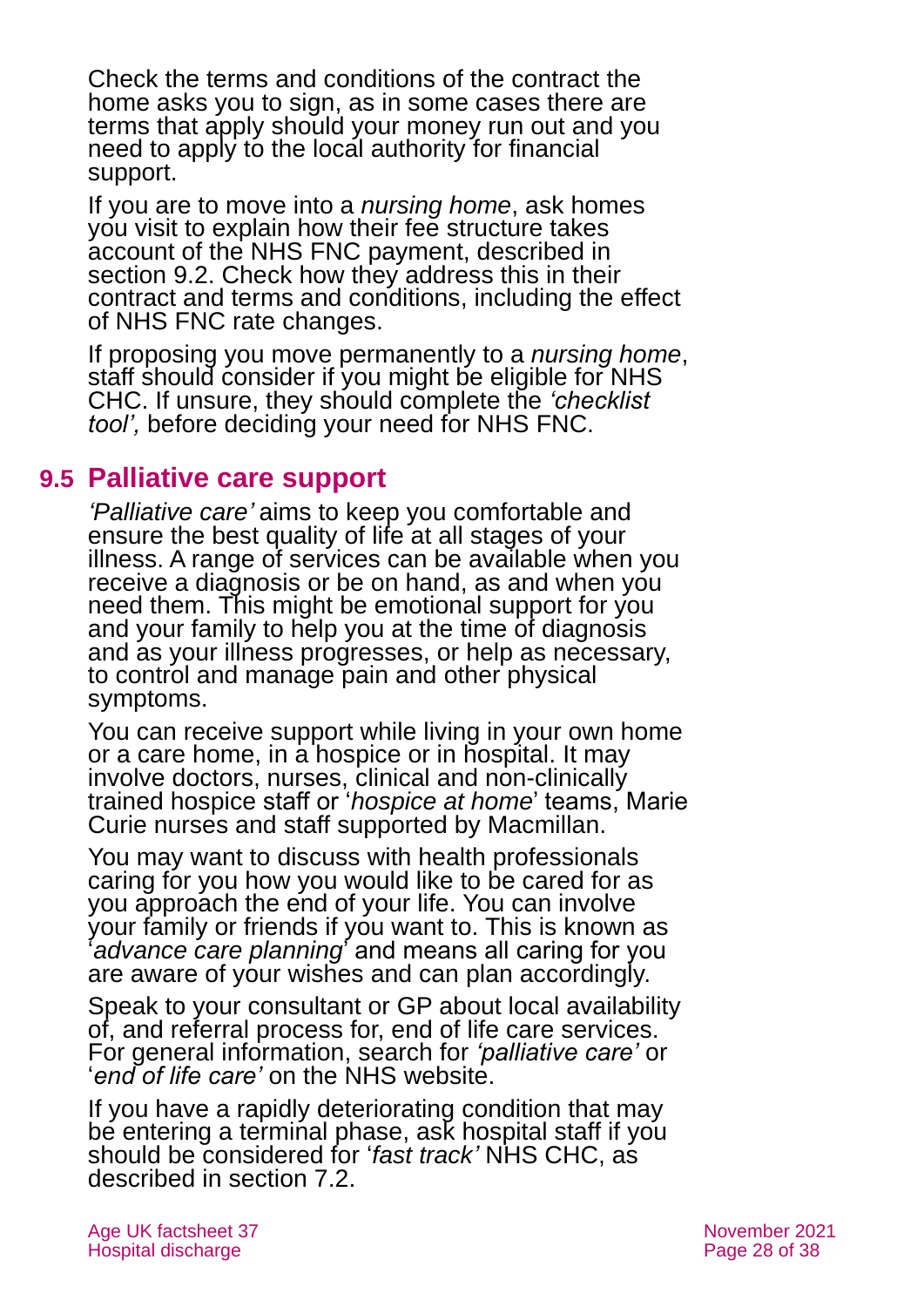Check the terms and conditions of the contract the home asks you to sign, as in some cases there are terms that apply should your money run out and you need to apply to the local authority for financial support.

If you are to move into a *nursing home*, ask homes you visit to explain how their fee structure takes account of the NHS FNC payment, described in [section 9.2.](#page-24-0) Check how they address this in their contract and terms and conditions, including the effect of NHS FNC rate changes.

If proposing you move permanently to a *nursing home*, staff should consider if you might be eligible for NHS CHC. If unsure, they should complete the *'checklist tool',* before deciding your need for NHS FNC.

### **9.5 Palliative care support**

*'Palliative care'* aims to keep you comfortable and ensure the best quality of life at all stages of your illness. A range of services can be available when you receive a diagnosis or be on hand, as and when you need them. This might be emotional support for you and your family to help you at the time of diagnosis and as your illness progresses, or help as necessary, to control and manage pain and other physical symptoms.

You can receive support while living in your own home or a care home, in a hospice or in hospital. It may involve doctors, nurses, clinical and non-clinically trained hospice staff or '*hospice at home*' teams, Marie Curie nurses and staff supported by Macmillan.

You may want to discuss with health professionals caring for you how you would like to be cared for as you approach the end of your life. You can involve your family or friends if you want to. This is known as '*advance care planning*' and means all caring for you are aware of your wishes and can plan accordingly.

Speak to your consultant or GP about local availability of, and referral process for, end of life care services. For general information, search for *'palliative care'* or '*end of life care'* on the NHS website.

If you have a rapidly deteriorating condition that may be entering a terminal phase, ask hospital staff if you should be considered for '*fast track'* NHS CHC, as described in [section 7.2.](#page-19-0)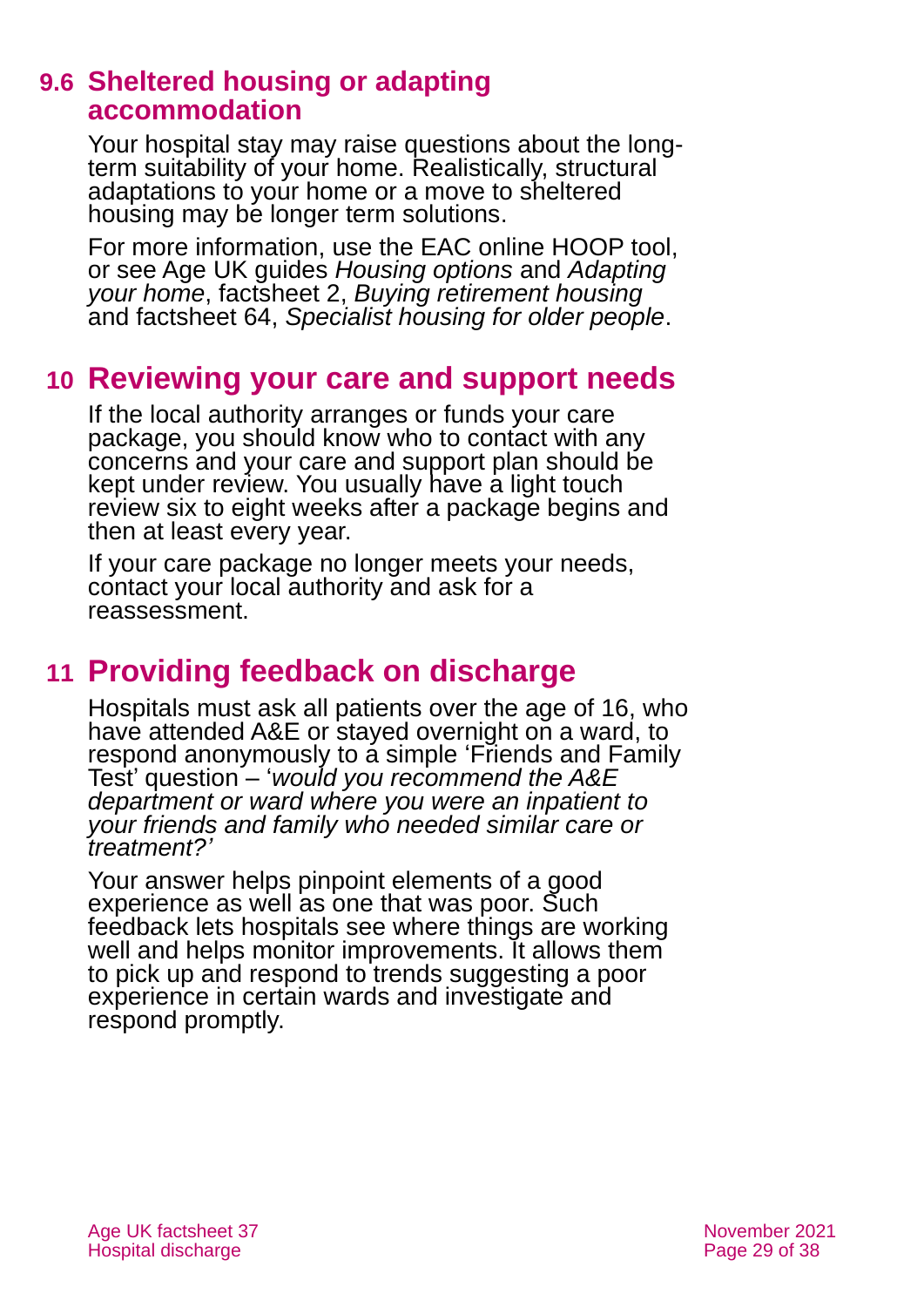#### **9.6 Sheltered housing or adapting accommodation**

Your hospital stay may raise questions about the longterm suitability of your home. Realistically, structural adaptations to your home or a move to sheltered housing may be longer term solutions.

For more information, use the EAC online [HOOP tool,](https://hoop.eac.org.uk/hooptool/) or see Age UK guides *[Housing options](https://www.ageuk.org.uk/globalassets/age-uk/documents/information-guides/ageukig08_housing_options_inf.pdf)* and *[Adapting](https://www.ageuk.org.uk/globalassets/age-uk/documents/information-guides/ageukig17_adapting_your_home_inf.pdf)  [your home](https://www.ageuk.org.uk/globalassets/age-uk/documents/information-guides/ageukig17_adapting_your_home_inf.pdf)*, factsheet 2, *[Buying retirement housing](https://www.ageuk.org.uk/globalassets/age-uk/documents/factsheets/fs2_buying_retirement_housing_fcs.pdf)* and factsheet 64, *[Specialist housing for older people](https://www.ageuk.org.uk/globalassets/age-uk/documents/factsheets/fs64_specialist_housing_for_older_people_fcs.pdf)*.

## <span id="page-28-0"></span>**10 Reviewing your care and support needs**

If the local authority arranges or funds your care package, you should know who to contact with any concerns and your care and support plan should be kept under review. You usually have a light touch review six to eight weeks after a package begins and then at least every year.

If your care package no longer meets your needs, contact your local authority and ask for a reassessment.

## <span id="page-28-1"></span>**11 Providing feedback on discharge**

Hospitals must ask all patients over the age of 16, who have attended A&E or stayed overnight on a ward, to respond anonymously to a simple ['Friends and Family](https://www.nhs.uk/using-the-nhs/about-the-nhs/friends-and-family-test-fft/)  [Test'](https://www.nhs.uk/using-the-nhs/about-the-nhs/friends-and-family-test-fft/) question – '*would you recommend the A&E department or ward where you were an inpatient to your friends and family who needed similar care or treatment?'*

Your answer helps pinpoint elements of a good experience as well as one that was poor. Such feedback lets hospitals see where things are working well and helps monitor improvements. It allows them to pick up and respond to trends suggesting a poor experience in certain wards and investigate and respond promptly.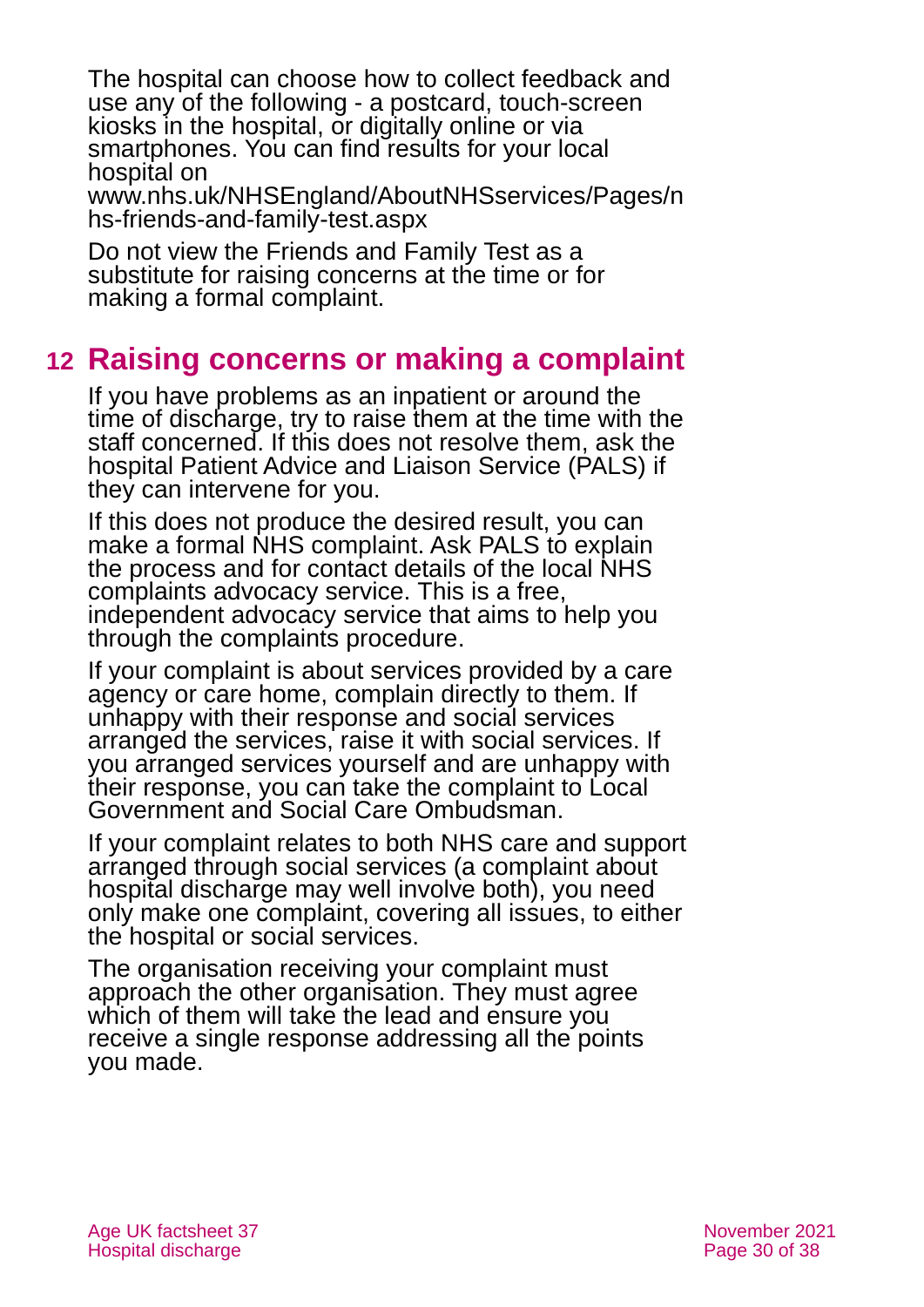The hospital can choose how to collect feedback and use any of the following - a postcard, touch-screen kiosks in the hospital, or digitally online or via smartphones. You can find results for your local hospital on

[www.nhs.uk/NHSEngland/AboutNHSservices/Pages/n](http://www.nhs.uk/NHSEngland/AboutNHSservices/Pages/nhs-friends-and-family-test.aspx) [hs-friends-and-family-test.aspx](http://www.nhs.uk/NHSEngland/AboutNHSservices/Pages/nhs-friends-and-family-test.aspx)

Do not view the Friends and Family Test as a substitute for raising concerns at the time or for making a formal complaint.

## <span id="page-29-0"></span>**12 Raising concerns or making a complaint**

If you have problems as an inpatient or around the time of discharge, try to raise them at the time with the staff concerned. If this does not resolve them, ask the hospital Patient Advice and Liaison Service (PALS) if they can intervene for you.

If this does not produce the desired result, you can make a formal NHS complaint. Ask PALS to explain the process and for contact details of the local NHS complaints advocacy service. This is a free, independent advocacy service that aims to help you through the complaints procedure.

If your complaint is about services provided by a care agency or care home, complain directly to them. If unhappy with their response and social services arranged the services, raise it with social services. If you arranged services yourself and are unhappy with their response, you can take the complaint to [Local](https://www.lgo.org.uk/)  [Government and Social Care Ombudsman.](https://www.lgo.org.uk/)

If your complaint relates to both NHS care and support arranged through social services (a complaint about hospital discharge may well involve both), you need only make one complaint, covering all issues, to either the hospital or social services.

The organisation receiving your complaint must approach the other organisation. They must agree which of them will take the lead and ensure you receive a single response addressing all the points you made.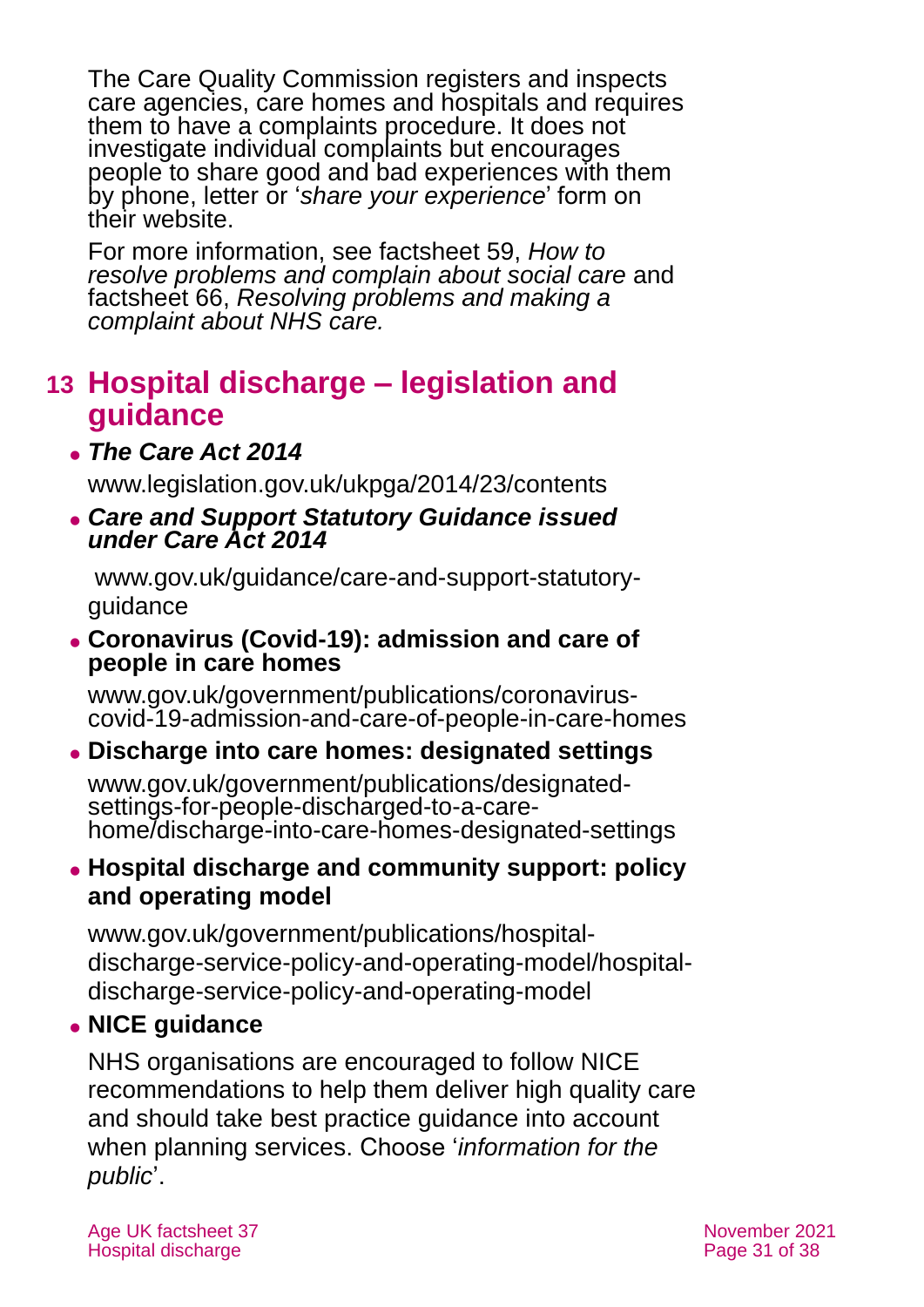The Care Quality Commission registers and inspects care agencies, care homes and hospitals and requires them to have a complaints procedure. It does not investigate individual complaints but encourages people to share good and bad experiences with them by phone, letter or '*[share your experience](https://www.cqc.org.uk/give-feedback-on-care?referer=contactus)*' form on [their website.](https://www.cqc.org.uk/give-feedback-on-care?referer=contactus)

For more information, see factsheet 59, *[How to](https://www.ageuk.org.uk/globalassets/age-uk/documents/factsheets/fs59_how_to_resolve_problems_and_complain_about_social_care_fcs.pdf)  [resolve problems and complain about social care](https://www.ageuk.org.uk/globalassets/age-uk/documents/factsheets/fs59_how_to_resolve_problems_and_complain_about_social_care_fcs.pdf)* and factsheet 66, *[Resolving problems and making a](https://www.ageuk.org.uk/globalassets/age-uk/documents/factsheets/fs66_resolving_problems_and_making_a_complaint_about_nhs_care_fcs.pdf)  [complaint about NHS care.](https://www.ageuk.org.uk/globalassets/age-uk/documents/factsheets/fs66_resolving_problems_and_making_a_complaint_about_nhs_care_fcs.pdf)*

## <span id="page-30-0"></span>**13 Hospital discharge – legislation and guidance**

⚫ *The Care Act 2014*

[www.legislation.gov.uk/ukpga/2014/23/contents](http://www.legislation.gov.uk/ukpga/2014/23/contents)

⚫ *Care and Support Statutory Guidance issued under Care Act 2014*

[www.gov.uk/guidance/care-and-support-statutory](http://www.gov.uk/guidance/care-and-support-statutory-guidance)[guidance](http://www.gov.uk/guidance/care-and-support-statutory-guidance)

⚫ **Coronavirus (Covid-19): admission and care of people in care homes**

[www.gov.uk/government/publications/coronavirus](https://www.gov.uk/government/publications/coronavirus-covid-19-admission-and-care-of-people-in-care-homes)[covid-19-admission-and-care-of-people-in-care-homes](https://www.gov.uk/government/publications/coronavirus-covid-19-admission-and-care-of-people-in-care-homes)

#### ⚫ **Discharge into care homes: designated settings**

[www.gov.uk/government/publications/designated](https://www.gov.uk/government/publications/designated-settings-for-people-discharged-to-a-care-home/discharge-into-care-homes-designated-settings)[settings-for-people-discharged-to-a-care](https://www.gov.uk/government/publications/designated-settings-for-people-discharged-to-a-care-home/discharge-into-care-homes-designated-settings)[home/discharge-into-care-homes-designated-settings](https://www.gov.uk/government/publications/designated-settings-for-people-discharged-to-a-care-home/discharge-into-care-homes-designated-settings)

#### ⚫ **Hospital discharge and community support: policy and operating model**

[www.gov.uk/government/publications/hospital](https://www.gov.uk/government/publications/hospital-discharge-service-policy-and-operating-model/hospital-discharge-service-policy-and-operating-model)[discharge-service-policy-and-operating-model/hospital](https://www.gov.uk/government/publications/hospital-discharge-service-policy-and-operating-model/hospital-discharge-service-policy-and-operating-model)[discharge-service-policy-and-operating-model](https://www.gov.uk/government/publications/hospital-discharge-service-policy-and-operating-model/hospital-discharge-service-policy-and-operating-model)

#### ⚫ **NICE guidance**

NHS organisations are encouraged to follow NICE recommendations to help them deliver high quality care and should take best practice guidance into account when planning services. Choose '*information for the public*'.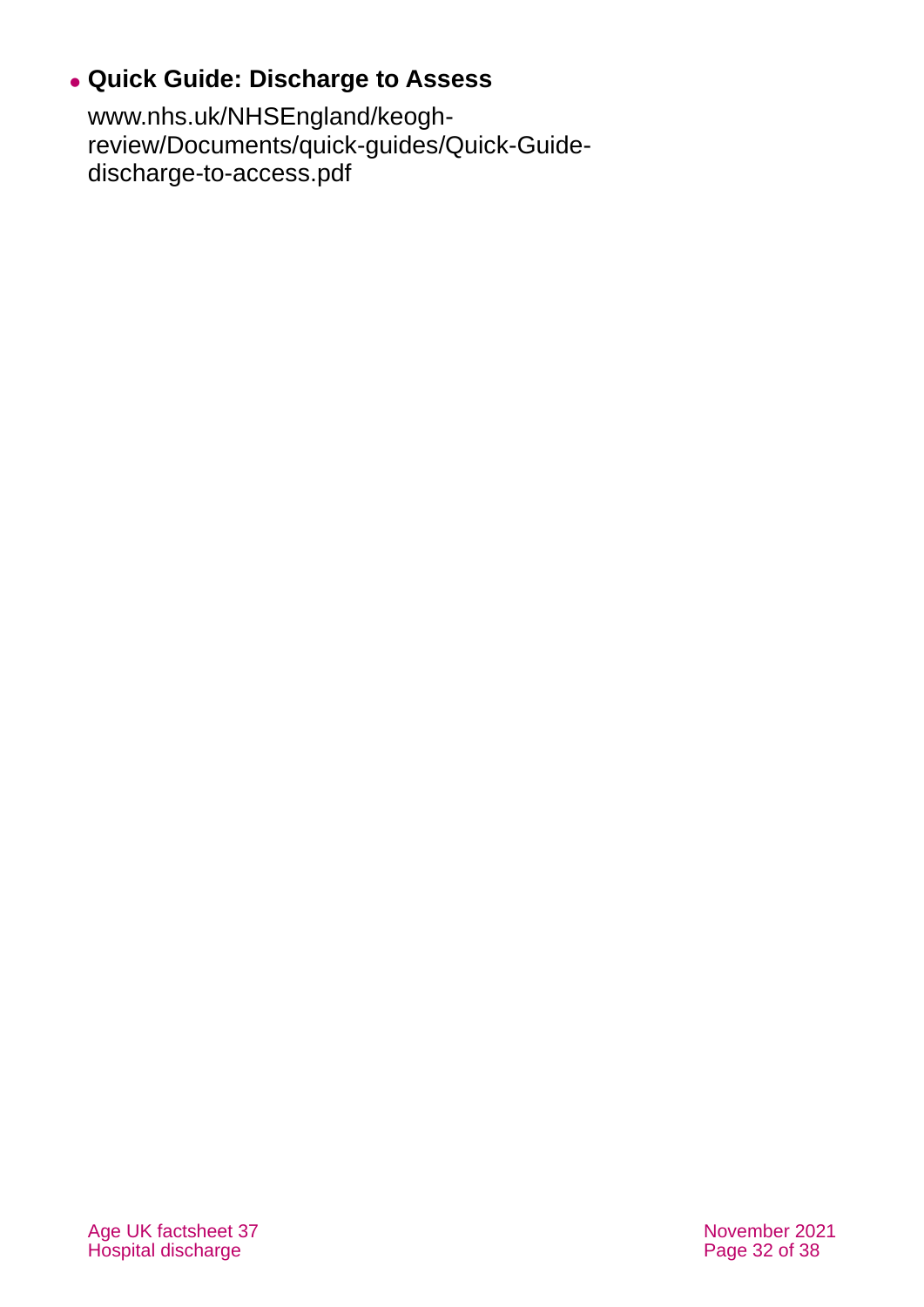## ⚫ **Quick Guide: Discharge to Assess**

[www.nhs.uk/NHSEngland/keogh](http://www.nhs.uk/NHSEngland/keogh-review/Documents/quick-guides/Quick-Guide-discharge-to-access.pdf)[review/Documents/quick-guides/Quick-Guide](http://www.nhs.uk/NHSEngland/keogh-review/Documents/quick-guides/Quick-Guide-discharge-to-access.pdf)[discharge-to-access.pdf](http://www.nhs.uk/NHSEngland/keogh-review/Documents/quick-guides/Quick-Guide-discharge-to-access.pdf)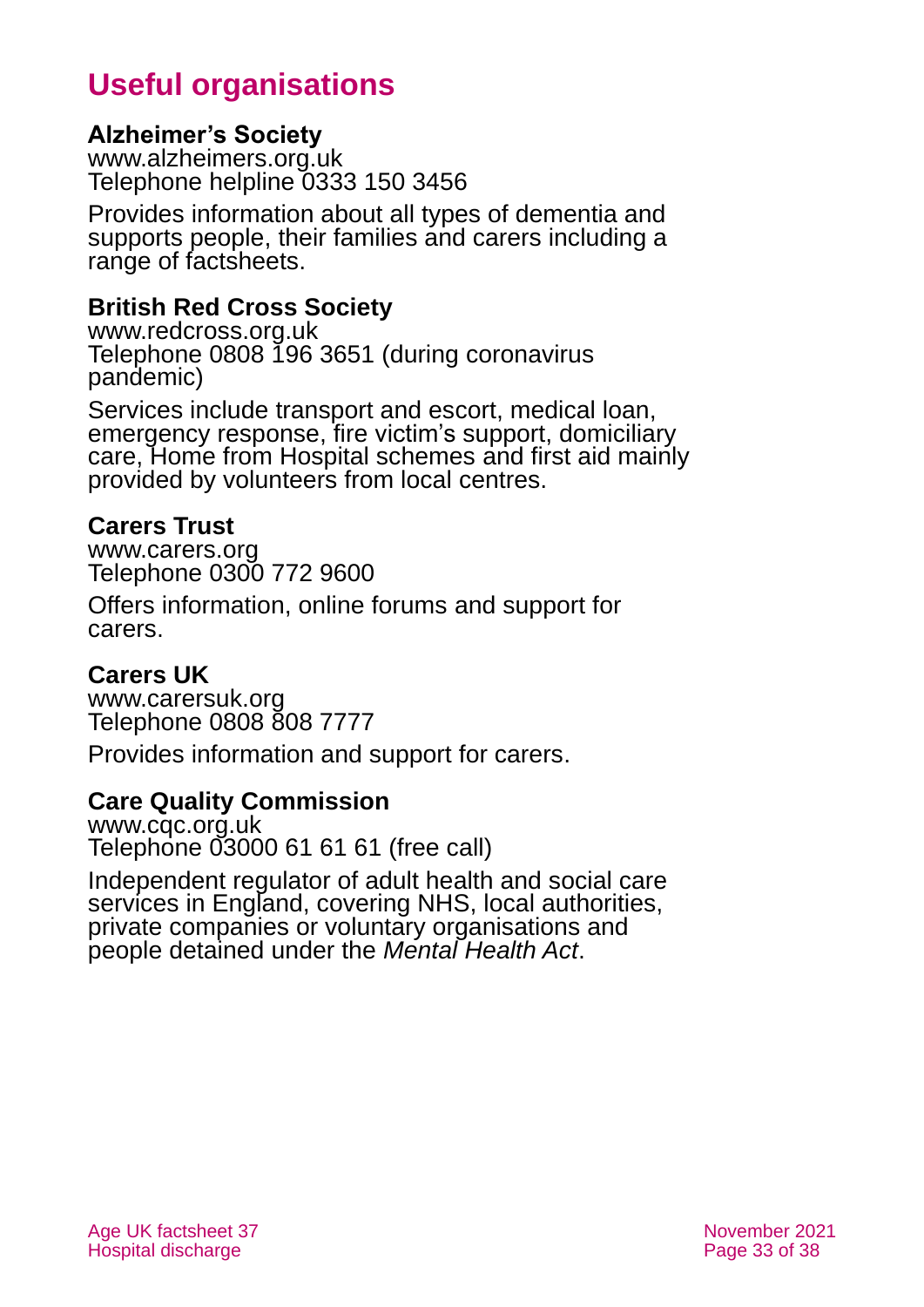## **Useful organisations**

#### <span id="page-32-0"></span>**Alzheimer's Society**

[www.alzheimers.org.uk](http://www.alzheimers.org.uk/) Telephone helpline 0333 150 3456

Provides information about all types of dementia and supports people, their families and carers including a range of factsheets.

#### **British Red Cross Society**

[www.redcross.org.uk](http://www.redcross.org.uk/) Telephone 0808 196 3651 (during coronavirus pandemic)

Services include transport and escort, medical loan, emergency response, fire victim's support, domiciliary care, Home from Hospital schemes and first aid mainly provided by volunteers from local centres.

#### **Carers Trust**

[www.carers.org](http://www.carers.org/) Telephone 0300 772 9600

Offers information, online forums and support for carers.

#### **Carers UK**

[www.carersuk.org](http://www.carersuk.org/) Telephone 0808 808 7777

Provides information and support for carers.

#### **Care Quality Commission**

[www.cqc.org.uk](http://www.cqc.org.uk/) Telephone 03000 61 61 61 (free call)

Independent regulator of adult health and social care services in England, covering NHS, local authorities, private companies or voluntary organisations and people detained under the *Mental Health Act*.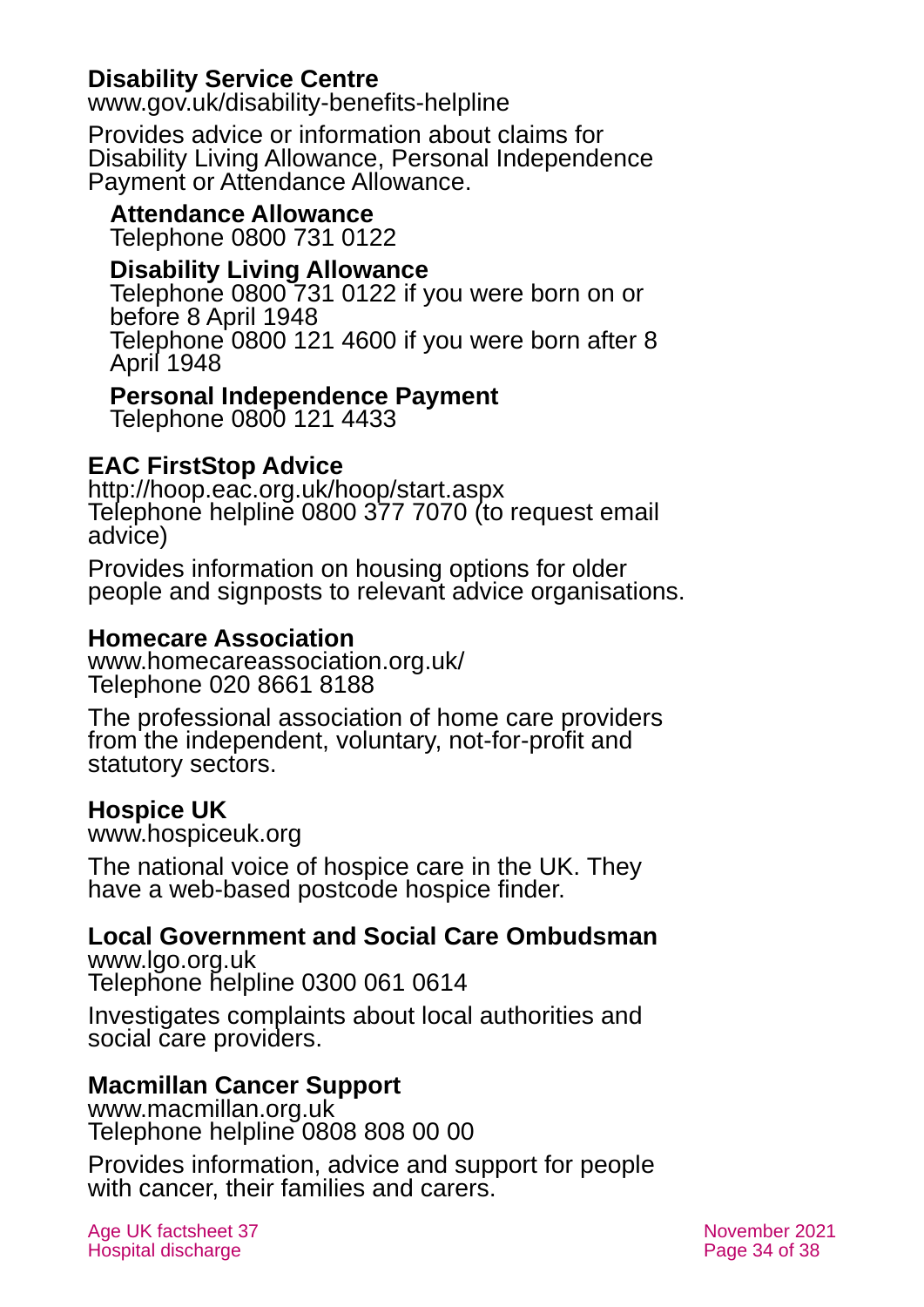#### **Disability Service Centre**

[www.gov.uk/disability-benefits-helpline](http://www.gov.uk/disability-benefits-helpline)

Provides advice or information about claims for Disability Living Allowance, Personal Independence Payment or Attendance Allowance.

#### **Attendance Allowance**

Telephone 0800 731 0122

#### **Disability Living Allowance**

Telephone 0800 731 0122 if you were born on or before 8 April 1948 Telephone 0800 121 4600 if you were born after 8 April 1948

#### **Personal Independence Payment**

Telephone 0800 121 4433

#### **EAC FirstStop Advice**

<http://hoop.eac.org.uk/hoop/start.aspx> Telephone helpline 0800 377 7070 (to request email advice)

Provides information on housing options for older people and signposts to relevant advice organisations.

#### **Homecare Association**

[www.homecareassociation.org.uk/](http://www.homecareassociation.org.uk/) Telephone 020 8661 8188

The professional association of home care providers from the independent, voluntary, not-for-profit and statutory sectors.

#### **Hospice UK**

[www.hospiceuk.org](http://www.hospiceuk.org/)

The national voice of hospice care in the UK. They have a web-based postcode hospice finder.

#### **[Local Government and Social Care](https://www.lgo.org.uk/) Ombudsman**

[www.lgo.org.uk](https://www.lgo.org.uk/) Telephone helpline 0300 061 0614

Investigates complaints about local authorities and social care providers.

#### **Macmillan Cancer Support**

[www.macmillan.org.uk](http://www.macmillan.org.uk/) Telephone helpline 0808 808 00 00

Provides information, advice and support for people with cancer, their families and carers.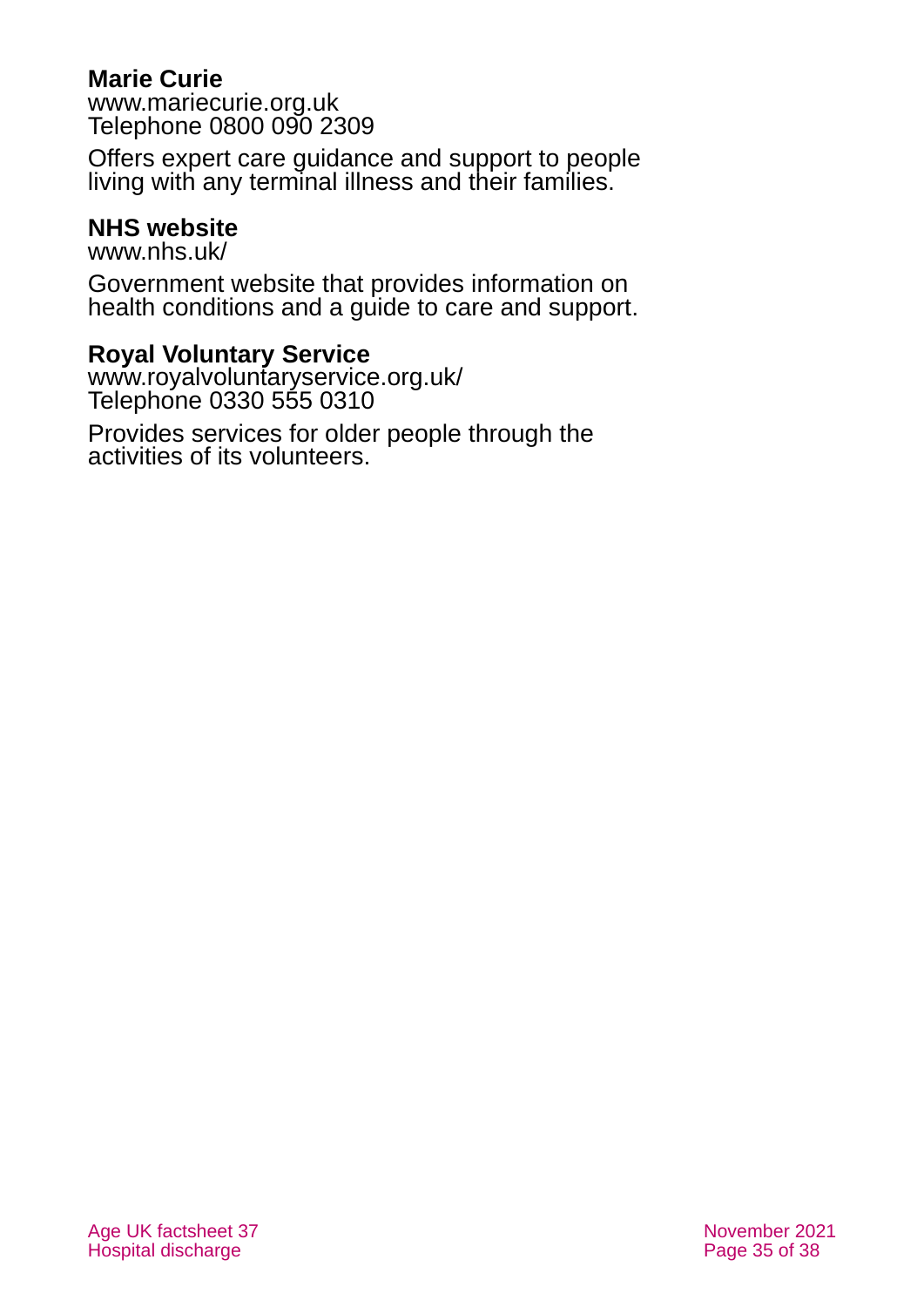#### **Marie Curie**

[www.mariecurie.org.uk](http://www.mariecurie.org.uk/) Telephone 0800 090 2309

Offers expert care guidance and support to people living with any terminal illness and their families.

#### **[NHS website](https://www.nhs.uk/)**

[www.nhs.uk/](https://www.nhs.uk/)

Government website that provides information on health conditions and a guide to care and support.

#### **Royal Voluntary Service**

[www.royalvoluntaryservice.org.uk/](http://www.royalvoluntaryservice.org.uk/) Telephone 0330 555 0310

Provides services for older people through the activities of its volunteers.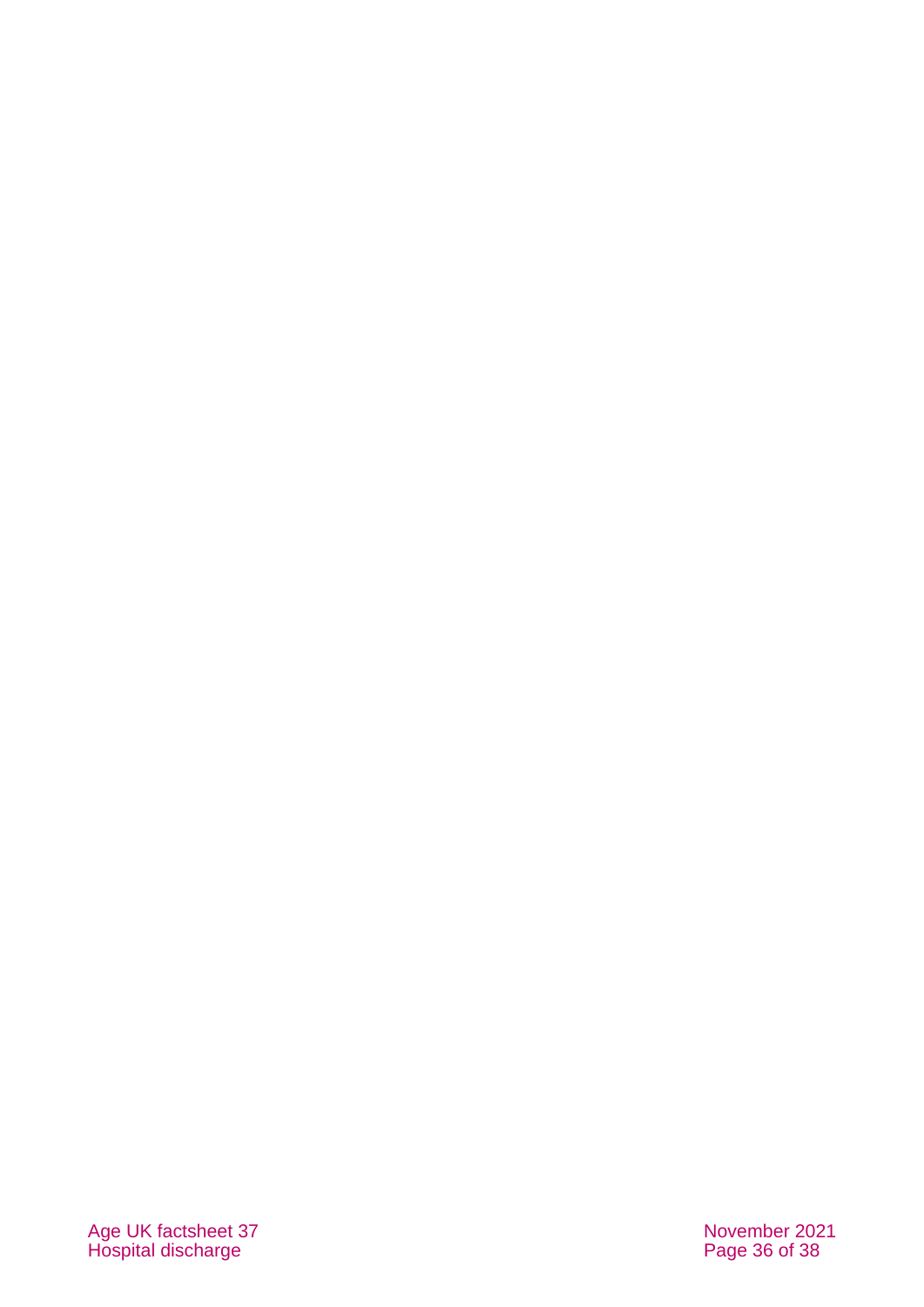Age UK factsheet 37 November 2021 Hospital discharge **Page 36 of 38**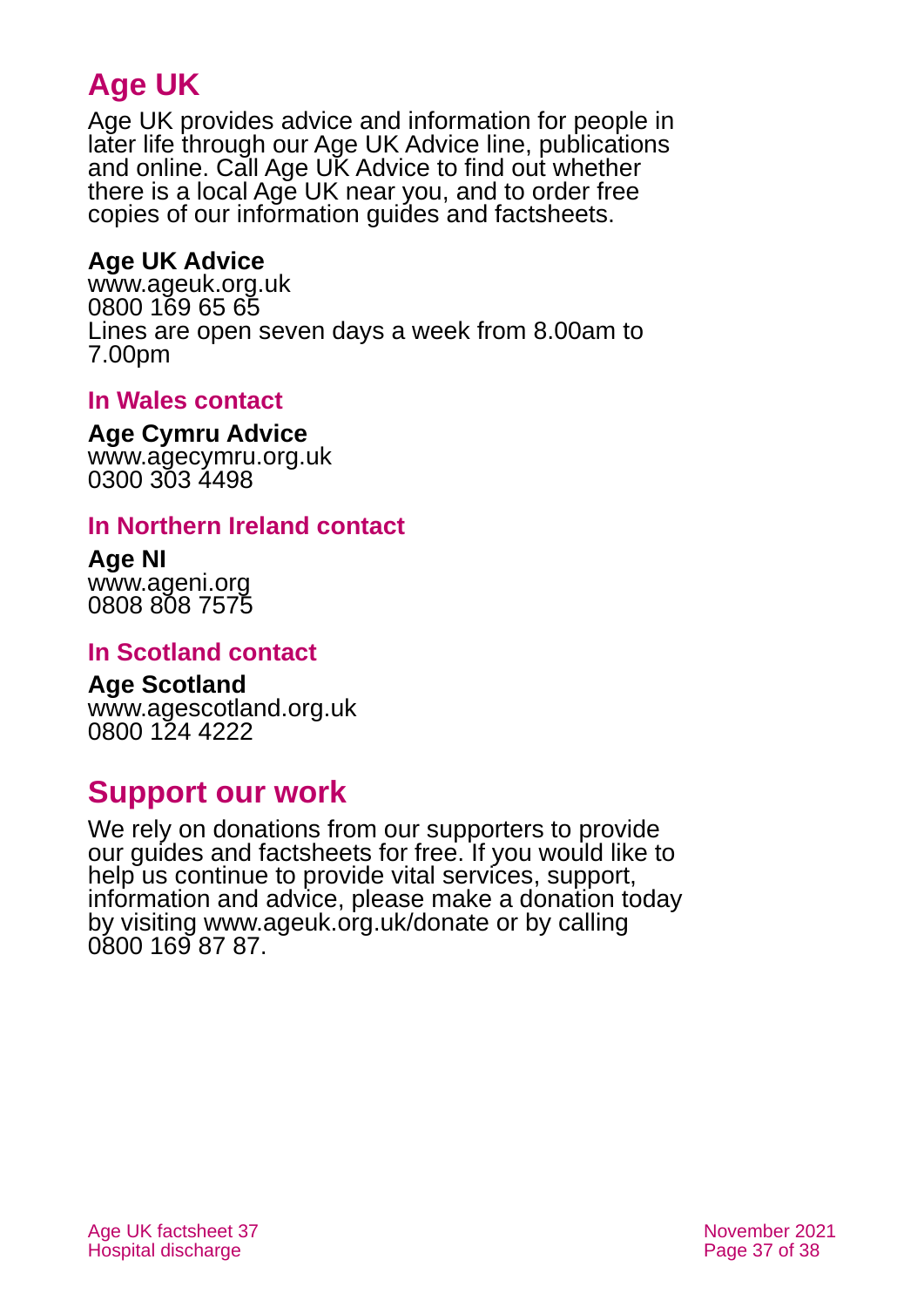## **Age UK**

Age UK provides advice and information for people in later life through our Age UK Advice line, publications and online. Call Age UK Advice to find out whether there is a local Age UK near you, and to order free copies of our information guides and factsheets.

#### <span id="page-36-1"></span>**Age UK Advice**

[www.ageuk.org.uk](http://www.ageuk.org.uk/) 0800 169 65 65 Lines are open seven days a week from 8.00am to 7.00pm

#### **In Wales contact**

#### <span id="page-36-0"></span>**Age Cymru Advice**

[www.agecymru.org.uk](http://www.agecymru.org.uk/) 0300 303 4498

#### **In Northern Ireland contact**

# **Age NI**

[www.ageni.org](http://www.ageni.org/) 0808 808 7575

#### **In Scotland contact**

## <span id="page-36-2"></span>**Age Scotland**

[www.agescotland.org.uk](http://www.agescotland.org.uk/) 0800 124 4222

## **Support our work**

We rely on donations from our supporters to provide our guides and factsheets for free. If you would like to help us continue to provide vital services, support, information and advice, please make a donation today by visiting [www.ageuk.org.uk/donate](http://www.ageuk.org.uk/donate) or by calling 0800 169 87 87.